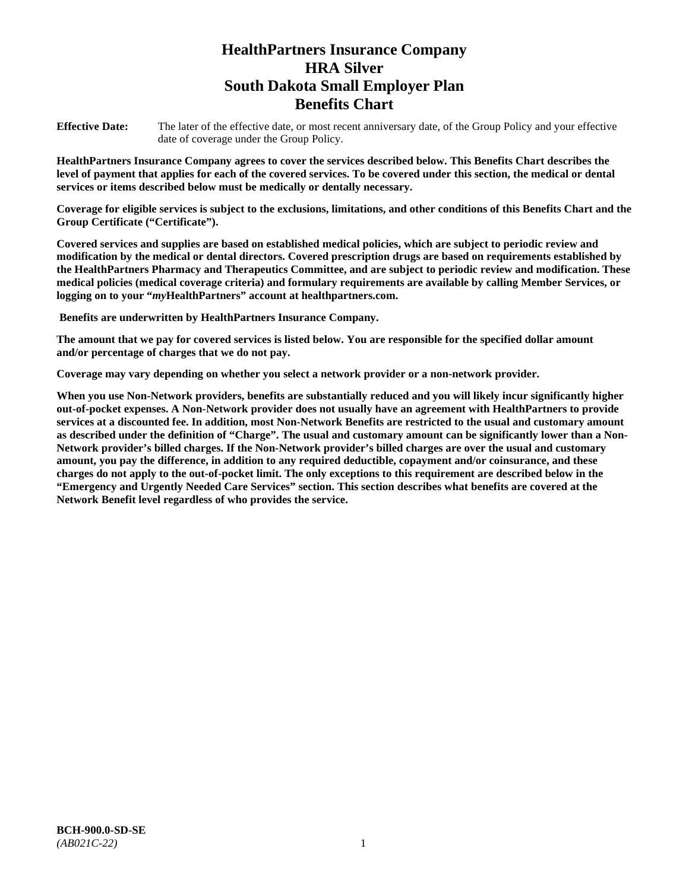# **HealthPartners Insurance Company HRA Silver South Dakota Small Employer Plan Benefits Chart**

**Effective Date:** The later of the effective date, or most recent anniversary date, of the Group Policy and your effective date of coverage under the Group Policy.

**HealthPartners Insurance Company agrees to cover the services described below. This Benefits Chart describes the level of payment that applies for each of the covered services. To be covered under this section, the medical or dental services or items described below must be medically or dentally necessary.**

**Coverage for eligible services is subject to the exclusions, limitations, and other conditions of this Benefits Chart and the Group Certificate ("Certificate").**

**Covered services and supplies are based on established medical policies, which are subject to periodic review and modification by the medical or dental directors. Covered prescription drugs are based on requirements established by the HealthPartners Pharmacy and Therapeutics Committee, and are subject to periodic review and modification. These medical policies (medical coverage criteria) and formulary requirements are available by calling Member Services, or logging on to your "***my***HealthPartners" account at [healthpartners.com.](file://isntmacsrv0/www.healthpartners.com)**

**Benefits are underwritten by HealthPartners Insurance Company.**

**The amount that we pay for covered services is listed below. You are responsible for the specified dollar amount and/or percentage of charges that we do not pay.**

**Coverage may vary depending on whether you select a network provider or a non-network provider.**

**When you use Non-Network providers, benefits are substantially reduced and you will likely incur significantly higher out-of-pocket expenses. A Non-Network provider does not usually have an agreement with HealthPartners to provide services at a discounted fee. In addition, most Non-Network Benefits are restricted to the usual and customary amount as described under the definition of "Charge". The usual and customary amount can be significantly lower than a Non-Network provider's billed charges. If the Non-Network provider's billed charges are over the usual and customary amount, you pay the difference, in addition to any required deductible, copayment and/or coinsurance, and these charges do not apply to the out-of-pocket limit. The only exceptions to this requirement are described below in the "Emergency and Urgently Needed Care Services" section. This section describes what benefits are covered at the Network Benefit level regardless of who provides the service.**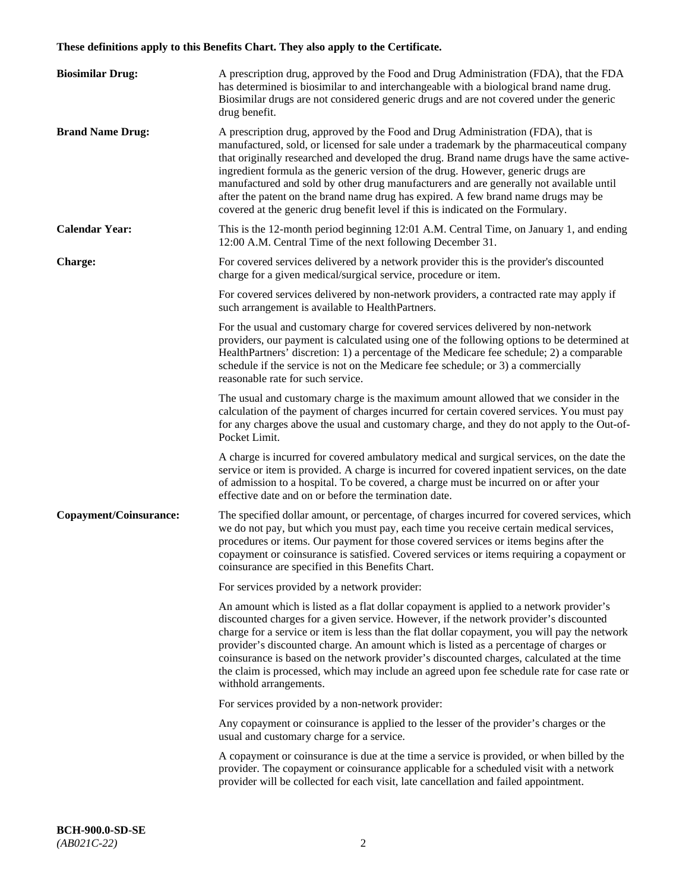# **These definitions apply to this Benefits Chart. They also apply to the Certificate.**

| <b>Biosimilar Drug:</b> | A prescription drug, approved by the Food and Drug Administration (FDA), that the FDA<br>has determined is biosimilar to and interchangeable with a biological brand name drug.<br>Biosimilar drugs are not considered generic drugs and are not covered under the generic<br>drug benefit.                                                                                                                                                                                                                                                                                                                                         |
|-------------------------|-------------------------------------------------------------------------------------------------------------------------------------------------------------------------------------------------------------------------------------------------------------------------------------------------------------------------------------------------------------------------------------------------------------------------------------------------------------------------------------------------------------------------------------------------------------------------------------------------------------------------------------|
| <b>Brand Name Drug:</b> | A prescription drug, approved by the Food and Drug Administration (FDA), that is<br>manufactured, sold, or licensed for sale under a trademark by the pharmaceutical company<br>that originally researched and developed the drug. Brand name drugs have the same active-<br>ingredient formula as the generic version of the drug. However, generic drugs are<br>manufactured and sold by other drug manufacturers and are generally not available until<br>after the patent on the brand name drug has expired. A few brand name drugs may be<br>covered at the generic drug benefit level if this is indicated on the Formulary. |
| <b>Calendar Year:</b>   | This is the 12-month period beginning 12:01 A.M. Central Time, on January 1, and ending<br>12:00 A.M. Central Time of the next following December 31.                                                                                                                                                                                                                                                                                                                                                                                                                                                                               |
| <b>Charge:</b>          | For covered services delivered by a network provider this is the provider's discounted<br>charge for a given medical/surgical service, procedure or item.                                                                                                                                                                                                                                                                                                                                                                                                                                                                           |
|                         | For covered services delivered by non-network providers, a contracted rate may apply if<br>such arrangement is available to HealthPartners.                                                                                                                                                                                                                                                                                                                                                                                                                                                                                         |
|                         | For the usual and customary charge for covered services delivered by non-network<br>providers, our payment is calculated using one of the following options to be determined at<br>HealthPartners' discretion: 1) a percentage of the Medicare fee schedule; 2) a comparable<br>schedule if the service is not on the Medicare fee schedule; or 3) a commercially<br>reasonable rate for such service.                                                                                                                                                                                                                              |
|                         | The usual and customary charge is the maximum amount allowed that we consider in the<br>calculation of the payment of charges incurred for certain covered services. You must pay<br>for any charges above the usual and customary charge, and they do not apply to the Out-of-<br>Pocket Limit.                                                                                                                                                                                                                                                                                                                                    |
|                         | A charge is incurred for covered ambulatory medical and surgical services, on the date the<br>service or item is provided. A charge is incurred for covered inpatient services, on the date<br>of admission to a hospital. To be covered, a charge must be incurred on or after your<br>effective date and on or before the termination date.                                                                                                                                                                                                                                                                                       |
| Copayment/Coinsurance:  | The specified dollar amount, or percentage, of charges incurred for covered services, which<br>we do not pay, but which you must pay, each time you receive certain medical services,<br>procedures or items. Our payment for those covered services or items begins after the<br>copayment or coinsurance is satisfied. Covered services or items requiring a copayment or<br>coinsurance are specified in this Benefits Chart.                                                                                                                                                                                                    |
|                         | For services provided by a network provider:                                                                                                                                                                                                                                                                                                                                                                                                                                                                                                                                                                                        |
|                         | An amount which is listed as a flat dollar copayment is applied to a network provider's<br>discounted charges for a given service. However, if the network provider's discounted<br>charge for a service or item is less than the flat dollar copayment, you will pay the network<br>provider's discounted charge. An amount which is listed as a percentage of charges or<br>coinsurance is based on the network provider's discounted charges, calculated at the time<br>the claim is processed, which may include an agreed upon fee schedule rate for case rate or<br>withhold arrangements.                                    |
|                         | For services provided by a non-network provider:                                                                                                                                                                                                                                                                                                                                                                                                                                                                                                                                                                                    |
|                         | Any copayment or coinsurance is applied to the lesser of the provider's charges or the<br>usual and customary charge for a service.                                                                                                                                                                                                                                                                                                                                                                                                                                                                                                 |
|                         | A copayment or coinsurance is due at the time a service is provided, or when billed by the<br>provider. The copayment or coinsurance applicable for a scheduled visit with a network<br>provider will be collected for each visit, late cancellation and failed appointment.                                                                                                                                                                                                                                                                                                                                                        |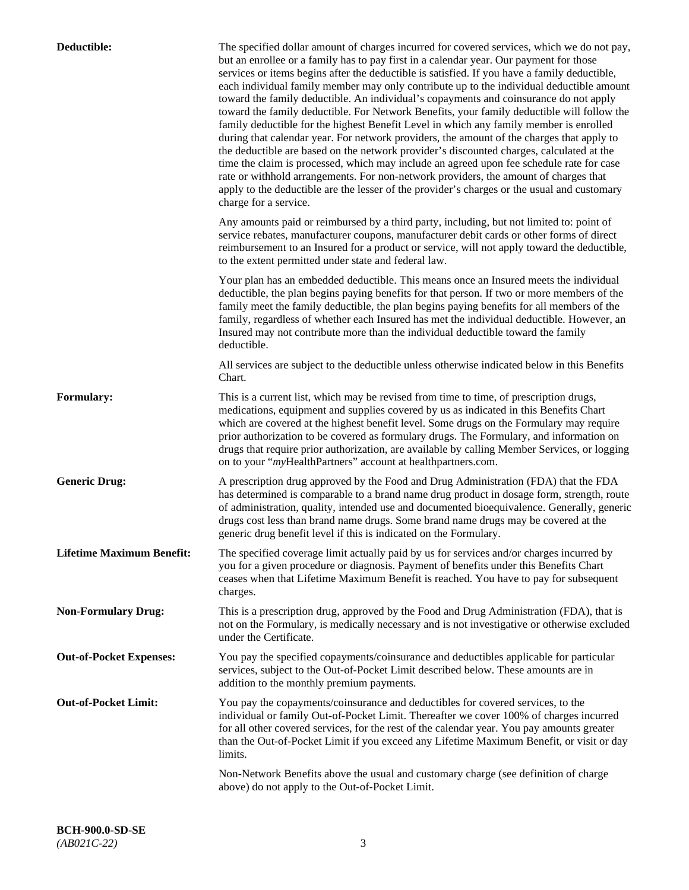| Deductible:                      | The specified dollar amount of charges incurred for covered services, which we do not pay,<br>but an enrollee or a family has to pay first in a calendar year. Our payment for those<br>services or items begins after the deductible is satisfied. If you have a family deductible,<br>each individual family member may only contribute up to the individual deductible amount<br>toward the family deductible. An individual's copayments and coinsurance do not apply<br>toward the family deductible. For Network Benefits, your family deductible will follow the<br>family deductible for the highest Benefit Level in which any family member is enrolled<br>during that calendar year. For network providers, the amount of the charges that apply to<br>the deductible are based on the network provider's discounted charges, calculated at the<br>time the claim is processed, which may include an agreed upon fee schedule rate for case<br>rate or withhold arrangements. For non-network providers, the amount of charges that<br>apply to the deductible are the lesser of the provider's charges or the usual and customary<br>charge for a service. |
|----------------------------------|------------------------------------------------------------------------------------------------------------------------------------------------------------------------------------------------------------------------------------------------------------------------------------------------------------------------------------------------------------------------------------------------------------------------------------------------------------------------------------------------------------------------------------------------------------------------------------------------------------------------------------------------------------------------------------------------------------------------------------------------------------------------------------------------------------------------------------------------------------------------------------------------------------------------------------------------------------------------------------------------------------------------------------------------------------------------------------------------------------------------------------------------------------------------|
|                                  | Any amounts paid or reimbursed by a third party, including, but not limited to: point of<br>service rebates, manufacturer coupons, manufacturer debit cards or other forms of direct<br>reimbursement to an Insured for a product or service, will not apply toward the deductible,<br>to the extent permitted under state and federal law.                                                                                                                                                                                                                                                                                                                                                                                                                                                                                                                                                                                                                                                                                                                                                                                                                            |
|                                  | Your plan has an embedded deductible. This means once an Insured meets the individual<br>deductible, the plan begins paying benefits for that person. If two or more members of the<br>family meet the family deductible, the plan begins paying benefits for all members of the<br>family, regardless of whether each Insured has met the individual deductible. However, an<br>Insured may not contribute more than the individual deductible toward the family<br>deductible.                                                                                                                                                                                                                                                                                                                                                                                                                                                                                                                                                                                                                                                                                       |
|                                  | All services are subject to the deductible unless otherwise indicated below in this Benefits<br>Chart.                                                                                                                                                                                                                                                                                                                                                                                                                                                                                                                                                                                                                                                                                                                                                                                                                                                                                                                                                                                                                                                                 |
| <b>Formulary:</b>                | This is a current list, which may be revised from time to time, of prescription drugs,<br>medications, equipment and supplies covered by us as indicated in this Benefits Chart<br>which are covered at the highest benefit level. Some drugs on the Formulary may require<br>prior authorization to be covered as formulary drugs. The Formulary, and information on<br>drugs that require prior authorization, are available by calling Member Services, or logging<br>on to your "myHealthPartners" account at healthpartners.com.                                                                                                                                                                                                                                                                                                                                                                                                                                                                                                                                                                                                                                  |
| <b>Generic Drug:</b>             | A prescription drug approved by the Food and Drug Administration (FDA) that the FDA<br>has determined is comparable to a brand name drug product in dosage form, strength, route<br>of administration, quality, intended use and documented bioequivalence. Generally, generic<br>drugs cost less than brand name drugs. Some brand name drugs may be covered at the<br>generic drug benefit level if this is indicated on the Formulary.                                                                                                                                                                                                                                                                                                                                                                                                                                                                                                                                                                                                                                                                                                                              |
| <b>Lifetime Maximum Benefit:</b> | The specified coverage limit actually paid by us for services and/or charges incurred by<br>you for a given procedure or diagnosis. Payment of benefits under this Benefits Chart<br>ceases when that Lifetime Maximum Benefit is reached. You have to pay for subsequent<br>charges.                                                                                                                                                                                                                                                                                                                                                                                                                                                                                                                                                                                                                                                                                                                                                                                                                                                                                  |
| <b>Non-Formulary Drug:</b>       | This is a prescription drug, approved by the Food and Drug Administration (FDA), that is<br>not on the Formulary, is medically necessary and is not investigative or otherwise excluded<br>under the Certificate.                                                                                                                                                                                                                                                                                                                                                                                                                                                                                                                                                                                                                                                                                                                                                                                                                                                                                                                                                      |
| <b>Out-of-Pocket Expenses:</b>   | You pay the specified copayments/coinsurance and deductibles applicable for particular<br>services, subject to the Out-of-Pocket Limit described below. These amounts are in<br>addition to the monthly premium payments.                                                                                                                                                                                                                                                                                                                                                                                                                                                                                                                                                                                                                                                                                                                                                                                                                                                                                                                                              |
| <b>Out-of-Pocket Limit:</b>      | You pay the copayments/coinsurance and deductibles for covered services, to the<br>individual or family Out-of-Pocket Limit. Thereafter we cover 100% of charges incurred<br>for all other covered services, for the rest of the calendar year. You pay amounts greater<br>than the Out-of-Pocket Limit if you exceed any Lifetime Maximum Benefit, or visit or day<br>limits.                                                                                                                                                                                                                                                                                                                                                                                                                                                                                                                                                                                                                                                                                                                                                                                         |
|                                  | Non-Network Benefits above the usual and customary charge (see definition of charge<br>above) do not apply to the Out-of-Pocket Limit.                                                                                                                                                                                                                                                                                                                                                                                                                                                                                                                                                                                                                                                                                                                                                                                                                                                                                                                                                                                                                                 |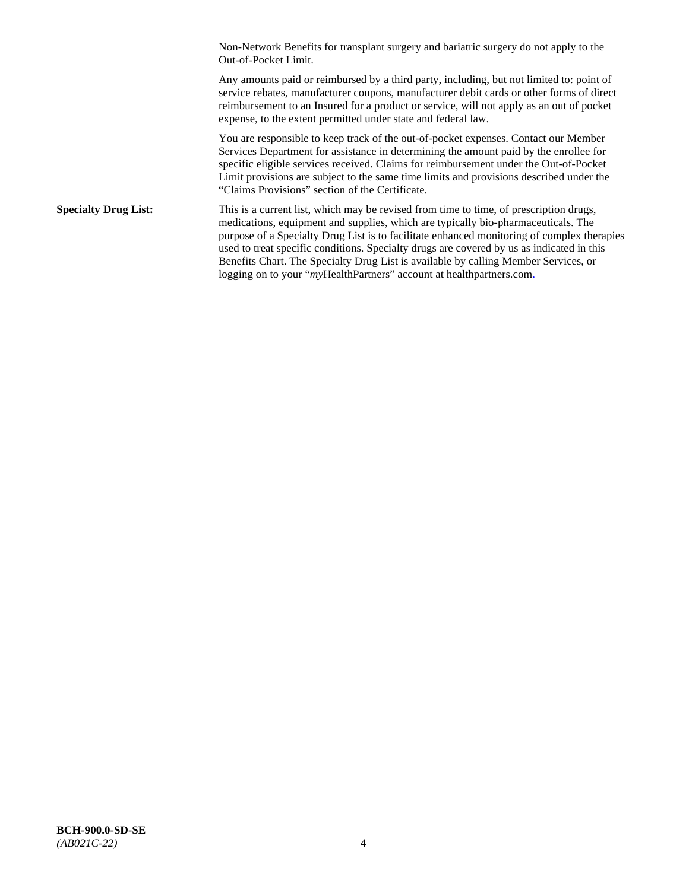Non-Network Benefits for transplant surgery and bariatric surgery do not apply to the Out-of-Pocket Limit.

Any amounts paid or reimbursed by a third party, including, but not limited to: point of service rebates, manufacturer coupons, manufacturer debit cards or other forms of direct reimbursement to an Insured for a product or service, will not apply as an out of pocket expense, to the extent permitted under state and federal law.

You are responsible to keep track of the out-of-pocket expenses. Contact our Member Services Department for assistance in determining the amount paid by the enrollee for specific eligible services received. Claims for reimbursement under the Out-of-Pocket Limit provisions are subject to the same time limits and provisions described under the "Claims Provisions" section of the Certificate.

**Specialty Drug List:** This is a current list, which may be revised from time to time, of prescription drugs, medications, equipment and supplies, which are typically bio-pharmaceuticals. The purpose of a Specialty Drug List is to facilitate enhanced monitoring of complex therapies used to treat specific conditions. Specialty drugs are covered by us as indicated in this Benefits Chart. The Specialty Drug List is available by calling Member Services, or logging on to your "*my*HealthPartners" account at [healthpartners.com.](http://healthpartners.com/)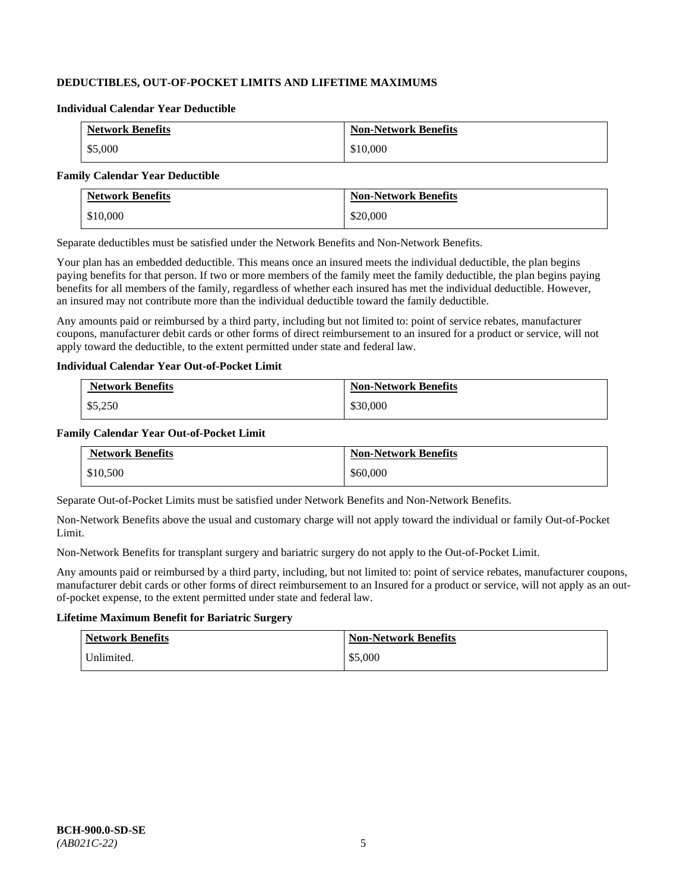# **DEDUCTIBLES, OUT-OF-POCKET LIMITS AND LIFETIME MAXIMUMS**

#### **Individual Calendar Year Deductible**

| <b>Network Benefits</b> | <b>Non-Network Benefits</b> |
|-------------------------|-----------------------------|
| \$5,000                 | \$10,000                    |

#### **Family Calendar Year Deductible**

| <b>Network Benefits</b> | <b>Non-Network Benefits</b> |
|-------------------------|-----------------------------|
| \$10,000                | \$20,000                    |

Separate deductibles must be satisfied under the Network Benefits and Non-Network Benefits.

Your plan has an embedded deductible. This means once an insured meets the individual deductible, the plan begins paying benefits for that person. If two or more members of the family meet the family deductible, the plan begins paying benefits for all members of the family, regardless of whether each insured has met the individual deductible. However, an insured may not contribute more than the individual deductible toward the family deductible.

Any amounts paid or reimbursed by a third party, including but not limited to: point of service rebates, manufacturer coupons, manufacturer debit cards or other forms of direct reimbursement to an insured for a product or service, will not apply toward the deductible, to the extent permitted under state and federal law.

#### **Individual Calendar Year Out-of-Pocket Limit**

| <b>Network Benefits</b> | <b>Non-Network Benefits</b> |
|-------------------------|-----------------------------|
| \$5,250                 | \$30,000                    |

### **Family Calendar Year Out-of-Pocket Limit**

| <b>Network Benefits</b> | <b>Non-Network Benefits</b> |
|-------------------------|-----------------------------|
| \$10,500                | \$60,000                    |

Separate Out-of-Pocket Limits must be satisfied under Network Benefits and Non-Network Benefits.

Non-Network Benefits above the usual and customary charge will not apply toward the individual or family Out-of-Pocket Limit.

Non-Network Benefits for transplant surgery and bariatric surgery do not apply to the Out-of-Pocket Limit.

Any amounts paid or reimbursed by a third party, including, but not limited to: point of service rebates, manufacturer coupons, manufacturer debit cards or other forms of direct reimbursement to an Insured for a product or service, will not apply as an outof-pocket expense, to the extent permitted under state and federal law.

### **Lifetime Maximum Benefit for Bariatric Surgery**

| <b>Network Benefits</b> | <b>Non-Network Benefits</b> |
|-------------------------|-----------------------------|
| Unlimited.              | \$5,000                     |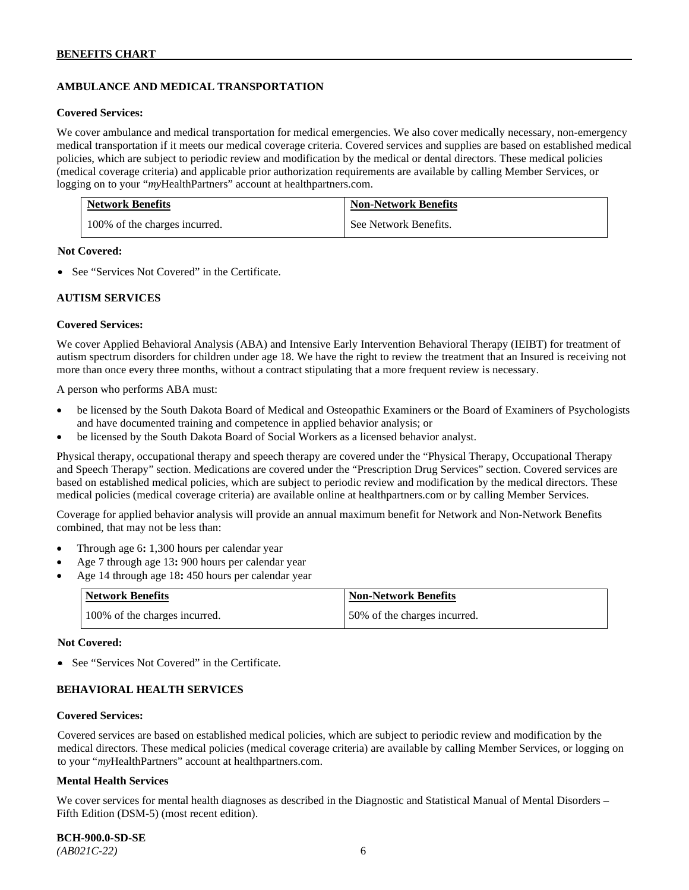# **AMBULANCE AND MEDICAL TRANSPORTATION**

#### **Covered Services:**

We cover ambulance and medical transportation for medical emergencies. We also cover medically necessary, non-emergency medical transportation if it meets our medical coverage criteria. Covered services and supplies are based on established medical policies, which are subject to periodic review and modification by the medical or dental directors. These medical policies (medical coverage criteria) and applicable prior authorization requirements are available by calling Member Services, or logging on to your "*my*HealthPartners" account at [healthpartners.com.](http://healthpartners.com/)

| <b>Network Benefits</b>       | <b>Non-Network Benefits</b> |
|-------------------------------|-----------------------------|
| 100% of the charges incurred. | See Network Benefits.       |

#### **Not Covered:**

• See "Services Not Covered" in the Certificate.

#### **AUTISM SERVICES**

#### **Covered Services:**

We cover Applied Behavioral Analysis (ABA) and Intensive Early Intervention Behavioral Therapy (IEIBT) for treatment of autism spectrum disorders for children under age 18. We have the right to review the treatment that an Insured is receiving not more than once every three months, without a contract stipulating that a more frequent review is necessary.

A person who performs ABA must:

- be licensed by the South Dakota Board of Medical and Osteopathic Examiners or the Board of Examiners of Psychologists and have documented training and competence in applied behavior analysis; or
- be licensed by the South Dakota Board of Social Workers as a licensed behavior analyst.

Physical therapy, occupational therapy and speech therapy are covered under the "Physical Therapy, Occupational Therapy and Speech Therapy" section. Medications are covered under the "Prescription Drug Services" section. Covered services are based on established medical policies, which are subject to periodic review and modification by the medical directors. These medical policies (medical coverage criteria) are available online at [healthpartners.com](http://healthpartners.com/) or by calling Member Services.

Coverage for applied behavior analysis will provide an annual maximum benefit for Network and Non-Network Benefits combined, that may not be less than:

- Through age 6**:** 1,300 hours per calendar year
- Age 7 through age 13**:** 900 hours per calendar year
- Age 14 through age 18**:** 450 hours per calendar year

| <b>Network Benefits</b>       | <b>Non-Network Benefits</b>  |
|-------------------------------|------------------------------|
| 100% of the charges incurred. | 50% of the charges incurred. |

#### **Not Covered:**

• See "Services Not Covered" in the Certificate.

### **BEHAVIORAL HEALTH SERVICES**

#### **Covered Services:**

Covered services are based on established medical policies, which are subject to periodic review and modification by the medical directors. These medical policies (medical coverage criteria) are available by calling Member Services, or logging on to your "*my*HealthPartners" account at [healthpartners.com.](http://healthpartners.com/)

#### **Mental Health Services**

We cover services for mental health diagnoses as described in the Diagnostic and Statistical Manual of Mental Disorders – Fifth Edition (DSM-5) (most recent edition).

**BCH-900.0-SD-SE**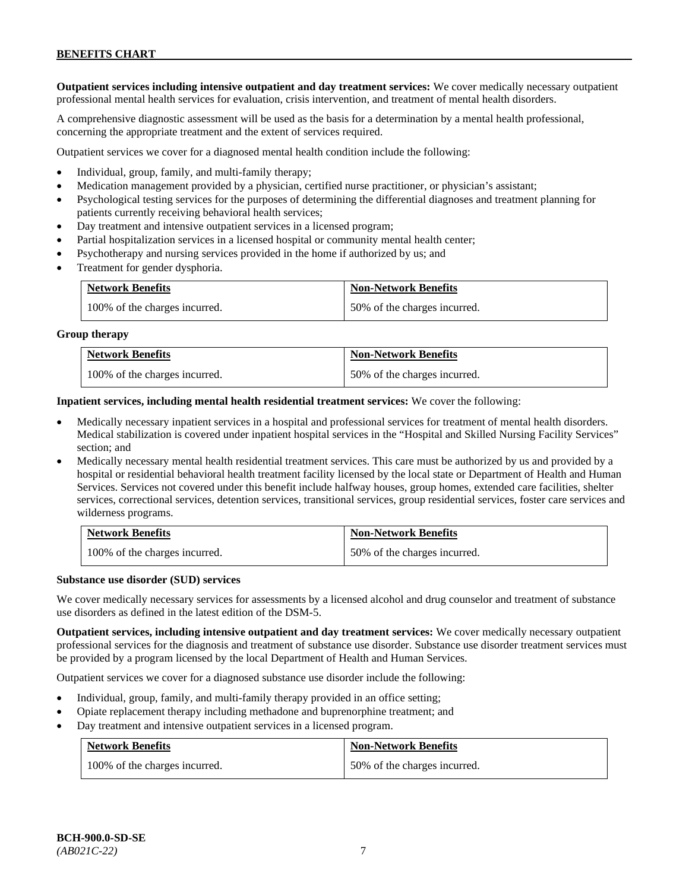**Outpatient services including intensive outpatient and day treatment services:** We cover medically necessary outpatient professional mental health services for evaluation, crisis intervention, and treatment of mental health disorders.

A comprehensive diagnostic assessment will be used as the basis for a determination by a mental health professional, concerning the appropriate treatment and the extent of services required.

Outpatient services we cover for a diagnosed mental health condition include the following:

- Individual, group, family, and multi-family therapy;
- Medication management provided by a physician, certified nurse practitioner, or physician's assistant;
- Psychological testing services for the purposes of determining the differential diagnoses and treatment planning for patients currently receiving behavioral health services;
- Day treatment and intensive outpatient services in a licensed program;
- Partial hospitalization services in a licensed hospital or community mental health center;
- Psychotherapy and nursing services provided in the home if authorized by us; and
- Treatment for gender dysphoria.

| <b>Network Benefits</b>       | <b>Non-Network Benefits</b>  |
|-------------------------------|------------------------------|
| 100% of the charges incurred. | 50% of the charges incurred. |

#### **Group therapy**

| <b>Network Benefits</b>       | <b>Non-Network Benefits</b>  |
|-------------------------------|------------------------------|
| 100% of the charges incurred. | 50% of the charges incurred. |

**Inpatient services, including mental health residential treatment services:** We cover the following:

- Medically necessary inpatient services in a hospital and professional services for treatment of mental health disorders. Medical stabilization is covered under inpatient hospital services in the "Hospital and Skilled Nursing Facility Services" section; and
- Medically necessary mental health residential treatment services. This care must be authorized by us and provided by a hospital or residential behavioral health treatment facility licensed by the local state or Department of Health and Human Services. Services not covered under this benefit include halfway houses, group homes, extended care facilities, shelter services, correctional services, detention services, transitional services, group residential services, foster care services and wilderness programs.

| <b>Network Benefits</b>       | <b>Non-Network Benefits</b>  |
|-------------------------------|------------------------------|
| 100% of the charges incurred. | 50% of the charges incurred. |

#### **Substance use disorder (SUD) services**

We cover medically necessary services for assessments by a licensed alcohol and drug counselor and treatment of substance use disorders as defined in the latest edition of the DSM-5.

**Outpatient services, including intensive outpatient and day treatment services:** We cover medically necessary outpatient professional services for the diagnosis and treatment of substance use disorder. Substance use disorder treatment services must be provided by a program licensed by the local Department of Health and Human Services.

Outpatient services we cover for a diagnosed substance use disorder include the following:

- Individual, group, family, and multi-family therapy provided in an office setting;
- Opiate replacement therapy including methadone and buprenorphine treatment; and
- Day treatment and intensive outpatient services in a licensed program.

| <b>Network Benefits</b>       | <b>Non-Network Benefits</b>  |
|-------------------------------|------------------------------|
| 100% of the charges incurred. | 50% of the charges incurred. |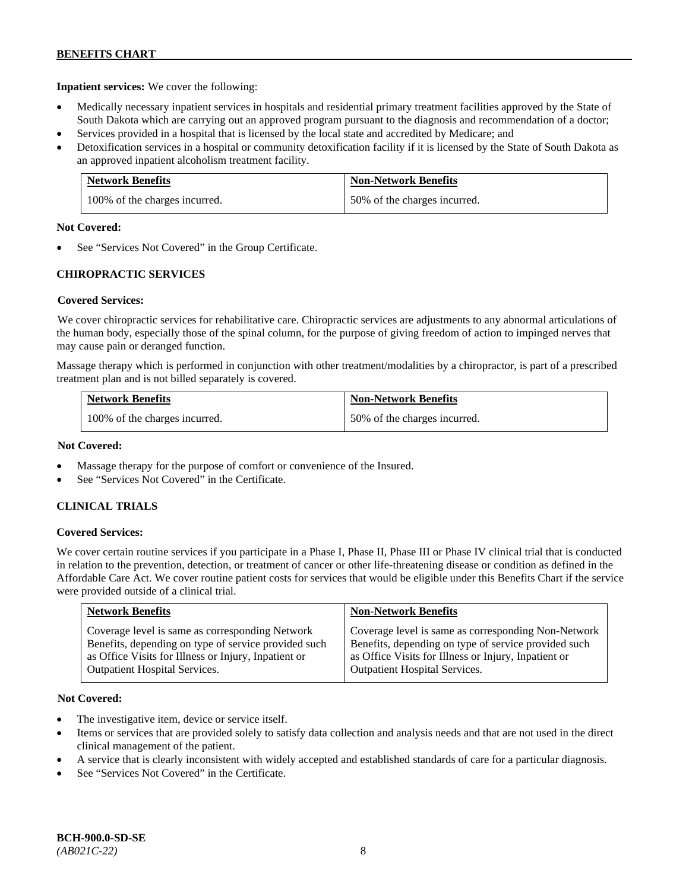**Inpatient services:** We cover the following:

- Medically necessary inpatient services in hospitals and residential primary treatment facilities approved by the State of South Dakota which are carrying out an approved program pursuant to the diagnosis and recommendation of a doctor;
- Services provided in a hospital that is licensed by the local state and accredited by Medicare; and
- Detoxification services in a hospital or community detoxification facility if it is licensed by the State of South Dakota as an approved inpatient alcoholism treatment facility.

| <b>Network Benefits</b>       | <b>Non-Network Benefits</b>  |
|-------------------------------|------------------------------|
| 100% of the charges incurred. | 50% of the charges incurred. |

#### **Not Covered:**

See "Services Not Covered" in the Group Certificate.

# **CHIROPRACTIC SERVICES**

### **Covered Services:**

We cover chiropractic services for rehabilitative care. Chiropractic services are adjustments to any abnormal articulations of the human body, especially those of the spinal column, for the purpose of giving freedom of action to impinged nerves that may cause pain or deranged function.

Massage therapy which is performed in conjunction with other treatment/modalities by a chiropractor, is part of a prescribed treatment plan and is not billed separately is covered.

| <b>Network Benefits</b>       | <b>Non-Network Benefits</b>  |
|-------------------------------|------------------------------|
| 100% of the charges incurred. | 50% of the charges incurred. |

### **Not Covered:**

- Massage therapy for the purpose of comfort or convenience of the Insured.
- See "Services Not Covered" in the Certificate.

### **CLINICAL TRIALS**

### **Covered Services:**

We cover certain routine services if you participate in a Phase I, Phase II, Phase III or Phase IV clinical trial that is conducted in relation to the prevention, detection, or treatment of cancer or other life-threatening disease or condition as defined in the Affordable Care Act. We cover routine patient costs for services that would be eligible under this Benefits Chart if the service were provided outside of a clinical trial.

| <b>Network Benefits</b>                              | <b>Non-Network Benefits</b>                          |
|------------------------------------------------------|------------------------------------------------------|
| Coverage level is same as corresponding Network      | Coverage level is same as corresponding Non-Network  |
| Benefits, depending on type of service provided such | Benefits, depending on type of service provided such |
| as Office Visits for Illness or Injury, Inpatient or | as Office Visits for Illness or Injury, Inpatient or |
| <b>Outpatient Hospital Services.</b>                 | <b>Outpatient Hospital Services.</b>                 |

### **Not Covered:**

- The investigative item, device or service itself.
- Items or services that are provided solely to satisfy data collection and analysis needs and that are not used in the direct clinical management of the patient.
- A service that is clearly inconsistent with widely accepted and established standards of care for a particular diagnosis.
- See "Services Not Covered" in the Certificate.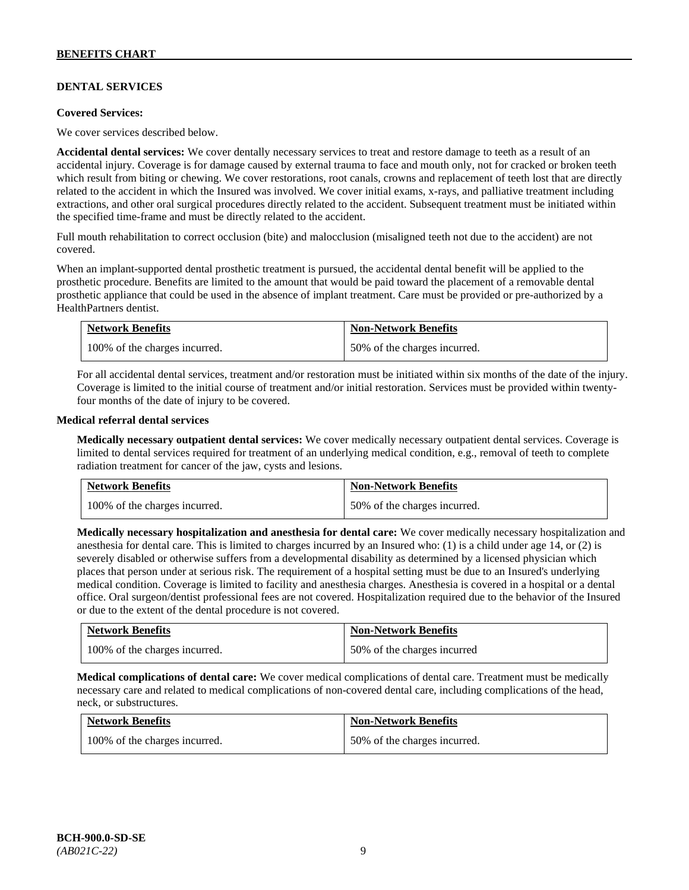# **DENTAL SERVICES**

#### **Covered Services:**

We cover services described below.

**Accidental dental services:** We cover dentally necessary services to treat and restore damage to teeth as a result of an accidental injury. Coverage is for damage caused by external trauma to face and mouth only, not for cracked or broken teeth which result from biting or chewing. We cover restorations, root canals, crowns and replacement of teeth lost that are directly related to the accident in which the Insured was involved. We cover initial exams, x-rays, and palliative treatment including extractions, and other oral surgical procedures directly related to the accident. Subsequent treatment must be initiated within the specified time-frame and must be directly related to the accident.

Full mouth rehabilitation to correct occlusion (bite) and malocclusion (misaligned teeth not due to the accident) are not covered.

When an implant-supported dental prosthetic treatment is pursued, the accidental dental benefit will be applied to the prosthetic procedure. Benefits are limited to the amount that would be paid toward the placement of a removable dental prosthetic appliance that could be used in the absence of implant treatment. Care must be provided or pre-authorized by a HealthPartners dentist.

| <b>Network Benefits</b>       | <b>Non-Network Benefits</b>  |
|-------------------------------|------------------------------|
| 100% of the charges incurred. | 50% of the charges incurred. |

For all accidental dental services, treatment and/or restoration must be initiated within six months of the date of the injury. Coverage is limited to the initial course of treatment and/or initial restoration. Services must be provided within twentyfour months of the date of injury to be covered.

#### **Medical referral dental services**

**Medically necessary outpatient dental services:** We cover medically necessary outpatient dental services. Coverage is limited to dental services required for treatment of an underlying medical condition, e.g., removal of teeth to complete radiation treatment for cancer of the jaw, cysts and lesions.

| <b>Network Benefits</b>       | <b>Non-Network Benefits</b>  |
|-------------------------------|------------------------------|
| 100% of the charges incurred. | 50% of the charges incurred. |

**Medically necessary hospitalization and anesthesia for dental care:** We cover medically necessary hospitalization and anesthesia for dental care. This is limited to charges incurred by an Insured who: (1) is a child under age 14, or (2) is severely disabled or otherwise suffers from a developmental disability as determined by a licensed physician which places that person under at serious risk. The requirement of a hospital setting must be due to an Insured's underlying medical condition. Coverage is limited to facility and anesthesia charges. Anesthesia is covered in a hospital or a dental office. Oral surgeon/dentist professional fees are not covered. Hospitalization required due to the behavior of the Insured or due to the extent of the dental procedure is not covered.

| <b>Network Benefits</b>       | <b>Non-Network Benefits</b> |
|-------------------------------|-----------------------------|
| 100% of the charges incurred. | 50% of the charges incurred |

**Medical complications of dental care:** We cover medical complications of dental care. Treatment must be medically necessary care and related to medical complications of non-covered dental care, including complications of the head, neck, or substructures.

| <b>Network Benefits</b>       | <b>Non-Network Benefits</b>  |
|-------------------------------|------------------------------|
| 100% of the charges incurred. | 50% of the charges incurred. |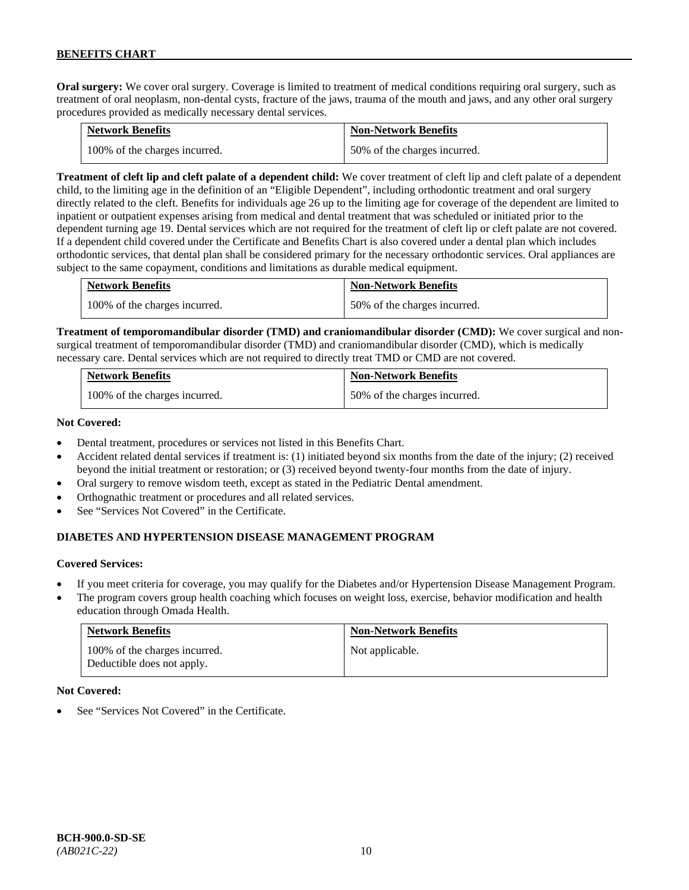**Oral surgery:** We cover oral surgery. Coverage is limited to treatment of medical conditions requiring oral surgery, such as treatment of oral neoplasm, non-dental cysts, fracture of the jaws, trauma of the mouth and jaws, and any other oral surgery procedures provided as medically necessary dental services.

| <b>Network Benefits</b>       | <b>Non-Network Benefits</b>  |
|-------------------------------|------------------------------|
| 100% of the charges incurred. | 50% of the charges incurred. |

**Treatment of cleft lip and cleft palate of a dependent child:** We cover treatment of cleft lip and cleft palate of a dependent child, to the limiting age in the definition of an "Eligible Dependent", including orthodontic treatment and oral surgery directly related to the cleft. Benefits for individuals age 26 up to the limiting age for coverage of the dependent are limited to inpatient or outpatient expenses arising from medical and dental treatment that was scheduled or initiated prior to the dependent turning age 19. Dental services which are not required for the treatment of cleft lip or cleft palate are not covered. If a dependent child covered under the Certificate and Benefits Chart is also covered under a dental plan which includes orthodontic services, that dental plan shall be considered primary for the necessary orthodontic services. Oral appliances are subject to the same copayment, conditions and limitations as durable medical equipment.

| <b>Network Benefits</b>       | <b>Non-Network Benefits</b>  |
|-------------------------------|------------------------------|
| 100% of the charges incurred. | 50% of the charges incurred. |

**Treatment of temporomandibular disorder (TMD) and craniomandibular disorder (CMD):** We cover surgical and nonsurgical treatment of temporomandibular disorder (TMD) and craniomandibular disorder (CMD), which is medically necessary care. Dental services which are not required to directly treat TMD or CMD are not covered.

| <b>Network Benefits</b>       | <b>Non-Network Benefits</b>  |
|-------------------------------|------------------------------|
| 100% of the charges incurred. | 50% of the charges incurred. |

#### **Not Covered:**

- Dental treatment, procedures or services not listed in this Benefits Chart.
- Accident related dental services if treatment is: (1) initiated beyond six months from the date of the injury; (2) received beyond the initial treatment or restoration; or (3) received beyond twenty-four months from the date of injury.
- Oral surgery to remove wisdom teeth, except as stated in the Pediatric Dental amendment.
- Orthognathic treatment or procedures and all related services.
- See "Services Not Covered" in the Certificate.

# **DIABETES AND HYPERTENSION DISEASE MANAGEMENT PROGRAM**

### **Covered Services:**

- If you meet criteria for coverage, you may qualify for the Diabetes and/or Hypertension Disease Management Program.
- The program covers group health coaching which focuses on weight loss, exercise, behavior modification and health education through Omada Health.

| <b>Network Benefits</b>                                     | <b>Non-Network Benefits</b> |
|-------------------------------------------------------------|-----------------------------|
| 100% of the charges incurred.<br>Deductible does not apply. | Not applicable.             |

### **Not Covered:**

See "Services Not Covered" in the Certificate.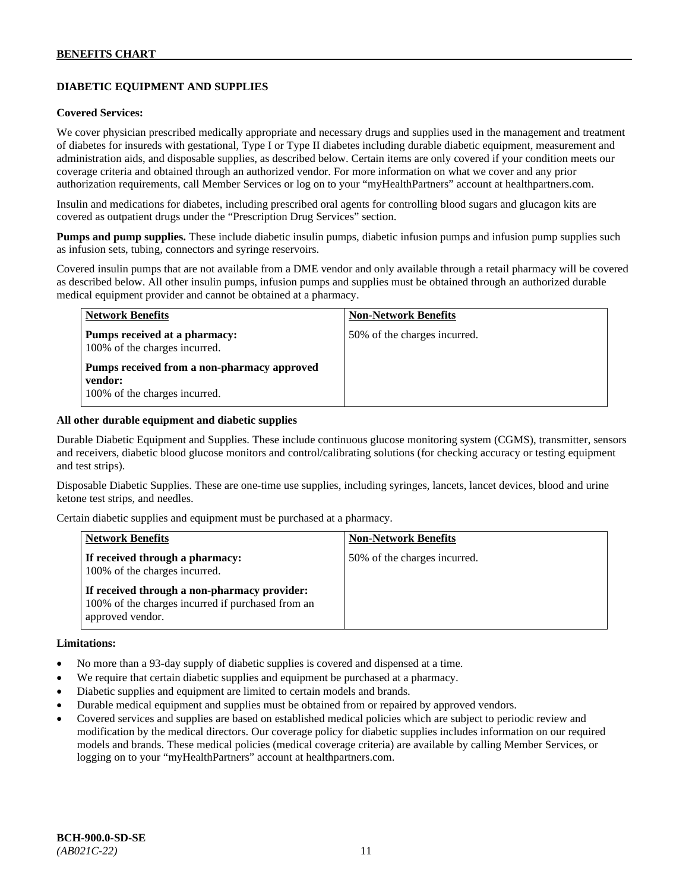# **DIABETIC EQUIPMENT AND SUPPLIES**

#### **Covered Services:**

We cover physician prescribed medically appropriate and necessary drugs and supplies used in the management and treatment of diabetes for insureds with gestational, Type I or Type II diabetes including durable diabetic equipment, measurement and administration aids, and disposable supplies, as described below. Certain items are only covered if your condition meets our coverage criteria and obtained through an authorized vendor. For more information on what we cover and any prior authorization requirements, call Member Services or log on to your "myHealthPartners" account at [healthpartners.com.](http://www.healthpartners.com/)

Insulin and medications for diabetes, including prescribed oral agents for controlling blood sugars and glucagon kits are covered as outpatient drugs under the "Prescription Drug Services" section.

**Pumps and pump supplies.** These include diabetic insulin pumps, diabetic infusion pumps and infusion pump supplies such as infusion sets, tubing, connectors and syringe reservoirs.

Covered insulin pumps that are not available from a DME vendor and only available through a retail pharmacy will be covered as described below. All other insulin pumps, infusion pumps and supplies must be obtained through an authorized durable medical equipment provider and cannot be obtained at a pharmacy.

| <b>Network Benefits</b>                                                                 | <b>Non-Network Benefits</b>  |
|-----------------------------------------------------------------------------------------|------------------------------|
| Pumps received at a pharmacy:<br>100% of the charges incurred.                          | 50% of the charges incurred. |
| Pumps received from a non-pharmacy approved<br>vendor:<br>100% of the charges incurred. |                              |

#### **All other durable equipment and diabetic supplies**

Durable Diabetic Equipment and Supplies. These include continuous glucose monitoring system (CGMS), transmitter, sensors and receivers, diabetic blood glucose monitors and control/calibrating solutions (for checking accuracy or testing equipment and test strips).

Disposable Diabetic Supplies. These are one-time use supplies, including syringes, lancets, lancet devices, blood and urine ketone test strips, and needles.

Certain diabetic supplies and equipment must be purchased at a pharmacy.

| <b>Network Benefits</b>                                                                                               | <b>Non-Network Benefits</b>  |
|-----------------------------------------------------------------------------------------------------------------------|------------------------------|
| If received through a pharmacy:<br>100% of the charges incurred.                                                      | 50% of the charges incurred. |
| If received through a non-pharmacy provider:<br>100% of the charges incurred if purchased from an<br>approved vendor. |                              |

#### **Limitations:**

- No more than a 93-day supply of diabetic supplies is covered and dispensed at a time.
- We require that certain diabetic supplies and equipment be purchased at a pharmacy.
- Diabetic supplies and equipment are limited to certain models and brands.
- Durable medical equipment and supplies must be obtained from or repaired by approved vendors.
- Covered services and supplies are based on established medical policies which are subject to periodic review and modification by the medical directors. Our coverage policy for diabetic supplies includes information on our required models and brands. These medical policies (medical coverage criteria) are available by calling Member Services, or logging on to your "myHealthPartners" account at [healthpartners.com.](http://www.healthpartners.com/)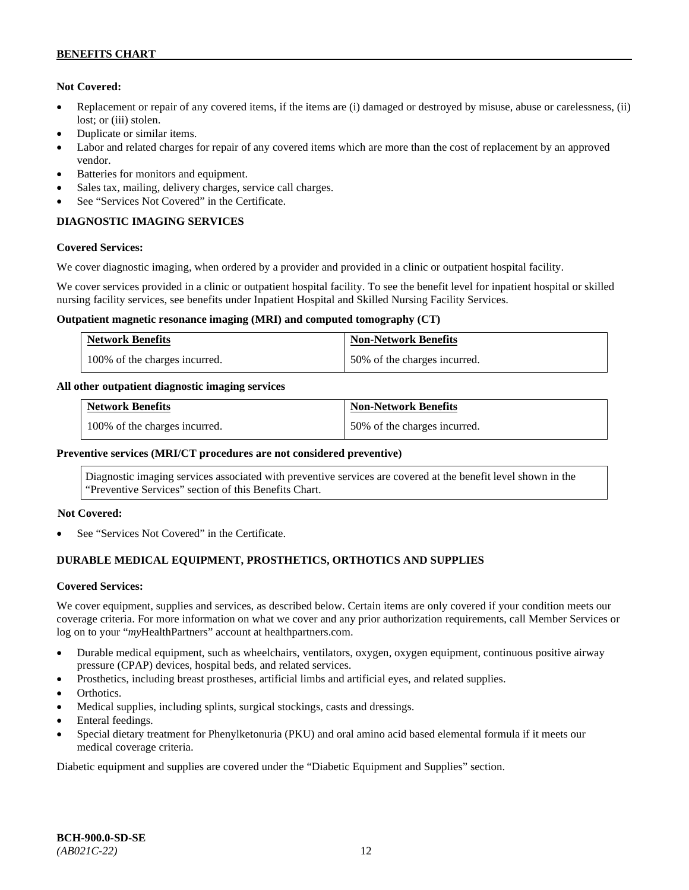### **Not Covered:**

- Replacement or repair of any covered items, if the items are (i) damaged or destroyed by misuse, abuse or carelessness, (ii) lost; or (iii) stolen.
- Duplicate or similar items.
- Labor and related charges for repair of any covered items which are more than the cost of replacement by an approved vendor.
- Batteries for monitors and equipment.
- Sales tax, mailing, delivery charges, service call charges.
- See "Services Not Covered" in the Certificate.

# **DIAGNOSTIC IMAGING SERVICES**

### **Covered Services:**

We cover diagnostic imaging, when ordered by a provider and provided in a clinic or outpatient hospital facility.

We cover services provided in a clinic or outpatient hospital facility. To see the benefit level for inpatient hospital or skilled nursing facility services, see benefits under Inpatient Hospital and Skilled Nursing Facility Services.

#### **Outpatient magnetic resonance imaging (MRI) and computed tomography (CT)**

| <b>Network Benefits</b>       | <b>Non-Network Benefits</b>  |
|-------------------------------|------------------------------|
| 100% of the charges incurred. | 50% of the charges incurred. |

### **All other outpatient diagnostic imaging services**

| <b>Network Benefits</b>       | <b>Non-Network Benefits</b>  |
|-------------------------------|------------------------------|
| 100% of the charges incurred. | 50% of the charges incurred. |

### **Preventive services (MRI/CT procedures are not considered preventive)**

Diagnostic imaging services associated with preventive services are covered at the benefit level shown in the "Preventive Services" section of this Benefits Chart.

### **Not Covered:**

See "Services Not Covered" in the Certificate.

### **DURABLE MEDICAL EQUIPMENT, PROSTHETICS, ORTHOTICS AND SUPPLIES**

#### **Covered Services:**

We cover equipment, supplies and services, as described below. Certain items are only covered if your condition meets our coverage criteria. For more information on what we cover and any prior authorization requirements, call Member Services or log on to your "*my*HealthPartners" account at [healthpartners.com.](http://healthpartners.com/)

- Durable medical equipment, such as wheelchairs, ventilators, oxygen, oxygen equipment, continuous positive airway pressure (CPAP) devices, hospital beds, and related services.
- Prosthetics, including breast prostheses, artificial limbs and artificial eyes, and related supplies.
- Orthotics.
- Medical supplies, including splints, surgical stockings, casts and dressings.
- Enteral feedings.
- Special dietary treatment for Phenylketonuria (PKU) and oral amino acid based elemental formula if it meets our medical coverage criteria.

Diabetic equipment and supplies are covered under the "Diabetic Equipment and Supplies" section.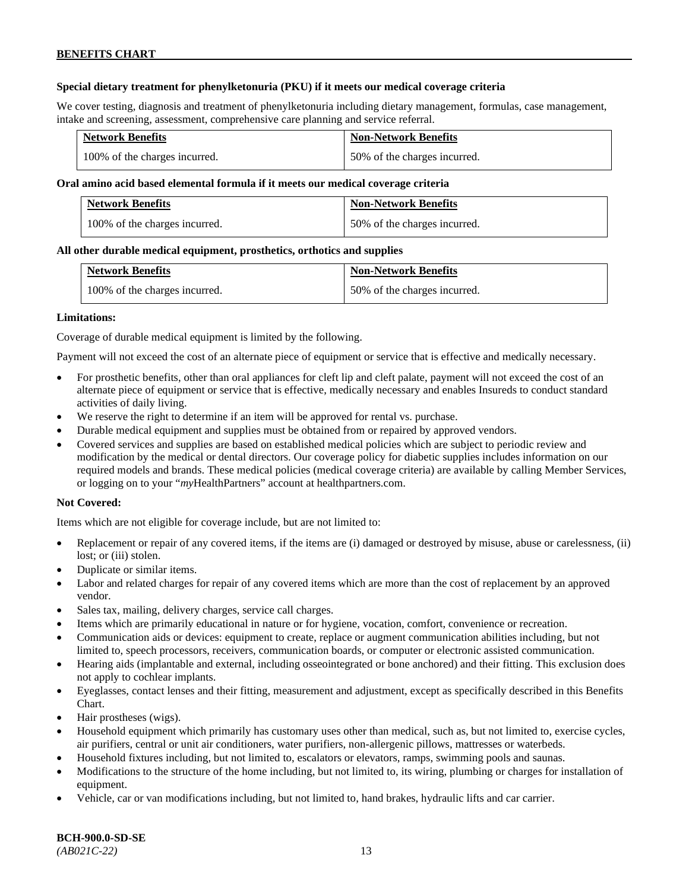### **Special dietary treatment for phenylketonuria (PKU) if it meets our medical coverage criteria**

We cover testing, diagnosis and treatment of phenylketonuria including dietary management, formulas, case management, intake and screening, assessment, comprehensive care planning and service referral.

| <b>Network Benefits</b>       | <b>Non-Network Benefits</b>  |
|-------------------------------|------------------------------|
| 100% of the charges incurred. | 50% of the charges incurred. |

### **Oral amino acid based elemental formula if it meets our medical coverage criteria**

| <b>Network Benefits</b>       | <b>Non-Network Benefits</b>  |
|-------------------------------|------------------------------|
| 100% of the charges incurred. | 50% of the charges incurred. |

#### **All other durable medical equipment, prosthetics, orthotics and supplies**

| <b>Network Benefits</b>       | <b>Non-Network Benefits</b>  |
|-------------------------------|------------------------------|
| 100% of the charges incurred. | 50% of the charges incurred. |

#### **Limitations:**

Coverage of durable medical equipment is limited by the following.

Payment will not exceed the cost of an alternate piece of equipment or service that is effective and medically necessary.

- For prosthetic benefits, other than oral appliances for cleft lip and cleft palate, payment will not exceed the cost of an alternate piece of equipment or service that is effective, medically necessary and enables Insureds to conduct standard activities of daily living.
- We reserve the right to determine if an item will be approved for rental vs. purchase.
- Durable medical equipment and supplies must be obtained from or repaired by approved vendors.
- Covered services and supplies are based on established medical policies which are subject to periodic review and modification by the medical or dental directors. Our coverage policy for diabetic supplies includes information on our required models and brands. These medical policies (medical coverage criteria) are available by calling Member Services, or logging on to your "*my*HealthPartners" account at [healthpartners.com.](http://www.healthpartners.com/)

### **Not Covered:**

Items which are not eligible for coverage include, but are not limited to:

- Replacement or repair of any covered items, if the items are (i) damaged or destroyed by misuse, abuse or carelessness, (ii) lost; or (iii) stolen.
- Duplicate or similar items.
- Labor and related charges for repair of any covered items which are more than the cost of replacement by an approved vendor.
- Sales tax, mailing, delivery charges, service call charges.
- Items which are primarily educational in nature or for hygiene, vocation, comfort, convenience or recreation.
- Communication aids or devices: equipment to create, replace or augment communication abilities including, but not limited to, speech processors, receivers, communication boards, or computer or electronic assisted communication.
- Hearing aids (implantable and external, including osseointegrated or bone anchored) and their fitting. This exclusion does not apply to cochlear implants.
- Eyeglasses, contact lenses and their fitting, measurement and adjustment, except as specifically described in this Benefits Chart.
- Hair prostheses (wigs).
- Household equipment which primarily has customary uses other than medical, such as, but not limited to, exercise cycles, air purifiers, central or unit air conditioners, water purifiers, non-allergenic pillows, mattresses or waterbeds.
- Household fixtures including, but not limited to, escalators or elevators, ramps, swimming pools and saunas.
- Modifications to the structure of the home including, but not limited to, its wiring, plumbing or charges for installation of equipment.
- Vehicle, car or van modifications including, but not limited to, hand brakes, hydraulic lifts and car carrier.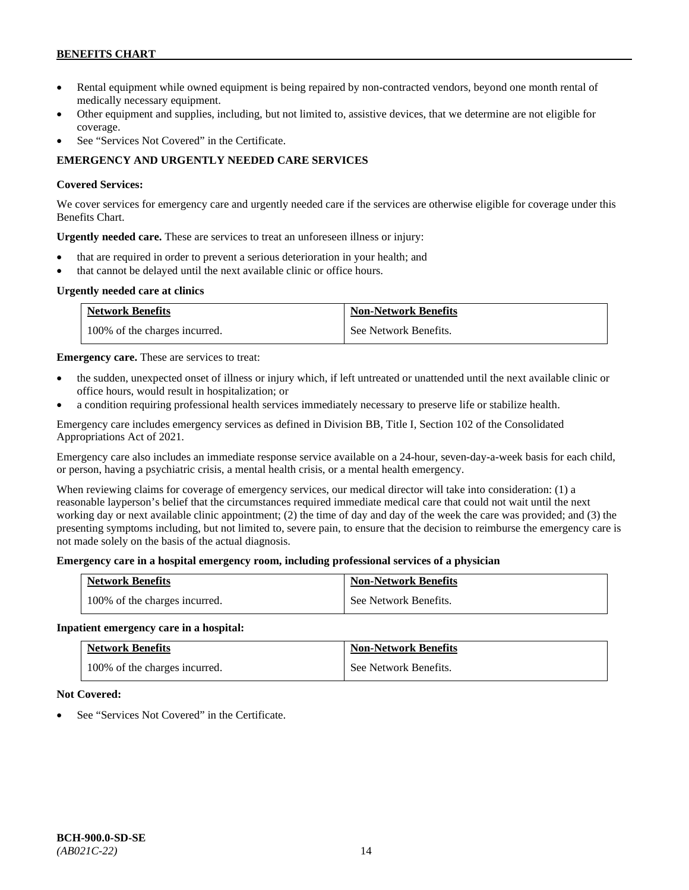- Rental equipment while owned equipment is being repaired by non-contracted vendors, beyond one month rental of medically necessary equipment.
- Other equipment and supplies, including, but not limited to, assistive devices, that we determine are not eligible for coverage.
- See "Services Not Covered" in the Certificate.

# **EMERGENCY AND URGENTLY NEEDED CARE SERVICES**

### **Covered Services:**

We cover services for emergency care and urgently needed care if the services are otherwise eligible for coverage under this Benefits Chart.

**Urgently needed care.** These are services to treat an unforeseen illness or injury:

- that are required in order to prevent a serious deterioration in your health; and
- that cannot be delayed until the next available clinic or office hours.

### **Urgently needed care at clinics**

| <b>Network Benefits</b>       | <b>Non-Network Benefits</b> |
|-------------------------------|-----------------------------|
| 100% of the charges incurred. | See Network Benefits.       |

**Emergency care.** These are services to treat:

- the sudden, unexpected onset of illness or injury which, if left untreated or unattended until the next available clinic or office hours, would result in hospitalization; or
- a condition requiring professional health services immediately necessary to preserve life or stabilize health.

Emergency care includes emergency services as defined in Division BB, Title I, Section 102 of the Consolidated Appropriations Act of 2021.

Emergency care also includes an immediate response service available on a 24-hour, seven-day-a-week basis for each child, or person, having a psychiatric crisis, a mental health crisis, or a mental health emergency.

When reviewing claims for coverage of emergency services, our medical director will take into consideration: (1) a reasonable layperson's belief that the circumstances required immediate medical care that could not wait until the next working day or next available clinic appointment; (2) the time of day and day of the week the care was provided; and (3) the presenting symptoms including, but not limited to, severe pain, to ensure that the decision to reimburse the emergency care is not made solely on the basis of the actual diagnosis.

### **Emergency care in a hospital emergency room, including professional services of a physician**

| <b>Network Benefits</b>       | <b>Non-Network Benefits</b> |
|-------------------------------|-----------------------------|
| 100% of the charges incurred. | See Network Benefits.       |

### **Inpatient emergency care in a hospital:**

| <b>Network Benefits</b>       | <b>Non-Network Benefits</b> |
|-------------------------------|-----------------------------|
| 100% of the charges incurred. | See Network Benefits.       |

### **Not Covered:**

See "Services Not Covered" in the Certificate.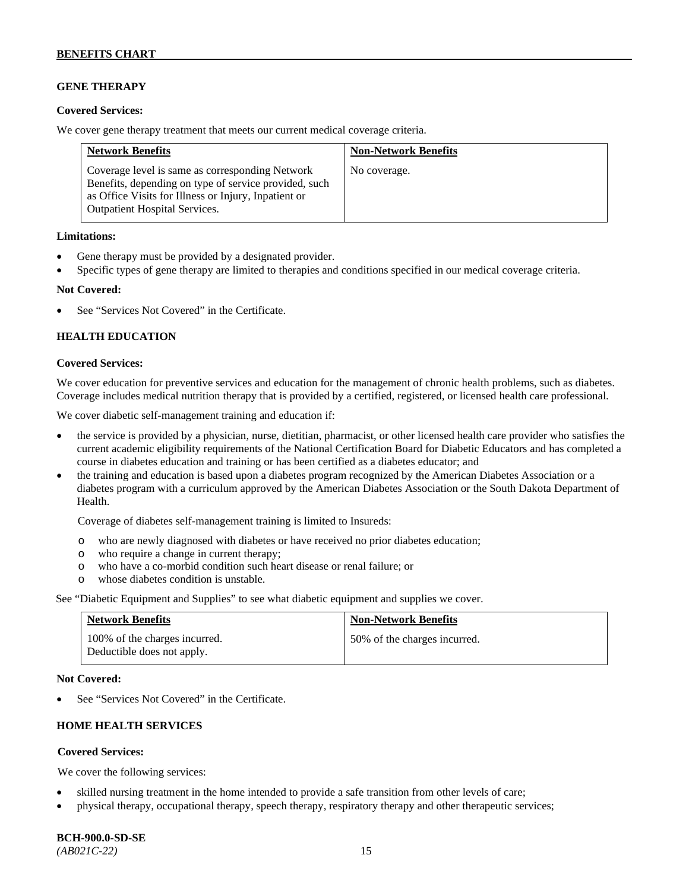### **GENE THERAPY**

#### **Covered Services:**

We cover gene therapy treatment that meets our current medical coverage criteria.

| <b>Network Benefits</b>                                                                                                                                                                                  | <b>Non-Network Benefits</b> |
|----------------------------------------------------------------------------------------------------------------------------------------------------------------------------------------------------------|-----------------------------|
| Coverage level is same as corresponding Network<br>Benefits, depending on type of service provided, such<br>as Office Visits for Illness or Injury, Inpatient or<br><b>Outpatient Hospital Services.</b> | No coverage.                |

#### **Limitations:**

- Gene therapy must be provided by a designated provider.
- Specific types of gene therapy are limited to therapies and conditions specified in our medical coverage criteria.

#### **Not Covered:**

See "Services Not Covered" in the Certificate.

### **HEALTH EDUCATION**

#### **Covered Services:**

We cover education for preventive services and education for the management of chronic health problems, such as diabetes. Coverage includes medical nutrition therapy that is provided by a certified, registered, or licensed health care professional.

We cover diabetic self-management training and education if:

- the service is provided by a physician, nurse, dietitian, pharmacist, or other licensed health care provider who satisfies the current academic eligibility requirements of the National Certification Board for Diabetic Educators and has completed a course in diabetes education and training or has been certified as a diabetes educator; and
- the training and education is based upon a diabetes program recognized by the American Diabetes Association or a diabetes program with a curriculum approved by the American Diabetes Association or the South Dakota Department of Health.

Coverage of diabetes self-management training is limited to Insureds:

- o who are newly diagnosed with diabetes or have received no prior diabetes education;
- o who require a change in current therapy;<br>o who have a co-morbid condition such heal
- who have a co-morbid condition such heart disease or renal failure; or
- o whose diabetes condition is unstable.

See "Diabetic Equipment and Supplies" to see what diabetic equipment and supplies we cover.

| <b>Network Benefits</b>                                     | <b>Non-Network Benefits</b>  |
|-------------------------------------------------------------|------------------------------|
| 100% of the charges incurred.<br>Deductible does not apply. | 50% of the charges incurred. |

#### **Not Covered:**

See "Services Not Covered" in the Certificate.

# **HOME HEALTH SERVICES**

### **Covered Services:**

We cover the following services:

- skilled nursing treatment in the home intended to provide a safe transition from other levels of care;
- physical therapy, occupational therapy, speech therapy, respiratory therapy and other therapeutic services;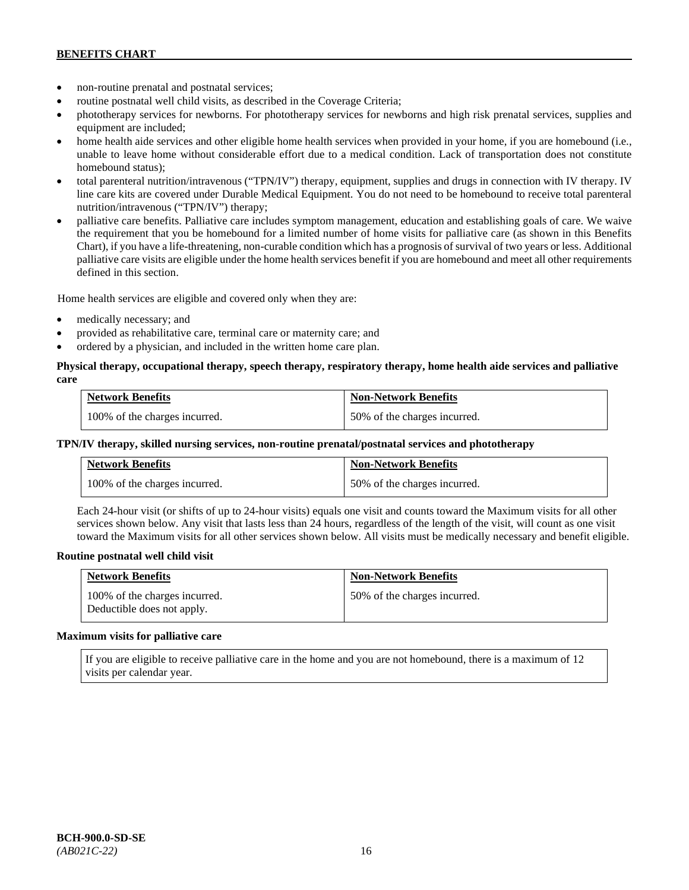- non-routine prenatal and postnatal services;
- routine postnatal well child visits, as described in the Coverage Criteria;
- phototherapy services for newborns. For phototherapy services for newborns and high risk prenatal services, supplies and equipment are included;
- home health aide services and other eligible home health services when provided in your home, if you are homebound (i.e., unable to leave home without considerable effort due to a medical condition. Lack of transportation does not constitute homebound status);
- total parenteral nutrition/intravenous ("TPN/IV") therapy, equipment, supplies and drugs in connection with IV therapy. IV line care kits are covered under Durable Medical Equipment. You do not need to be homebound to receive total parenteral nutrition/intravenous ("TPN/IV") therapy;
- palliative care benefits. Palliative care includes symptom management, education and establishing goals of care. We waive the requirement that you be homebound for a limited number of home visits for palliative care (as shown in this Benefits Chart), if you have a life-threatening, non-curable condition which has a prognosis of survival of two years or less. Additional palliative care visits are eligible under the home health services benefit if you are homebound and meet all other requirements defined in this section.

Home health services are eligible and covered only when they are:

- medically necessary; and
- provided as rehabilitative care, terminal care or maternity care; and
- ordered by a physician, and included in the written home care plan.

### **Physical therapy, occupational therapy, speech therapy, respiratory therapy, home health aide services and palliative care**

| <b>Network Benefits</b>       | <b>Non-Network Benefits</b>  |
|-------------------------------|------------------------------|
| 100% of the charges incurred. | 50% of the charges incurred. |

### **TPN/IV therapy, skilled nursing services, non-routine prenatal/postnatal services and phototherapy**

| Network Benefits              | <b>Non-Network Benefits</b>  |
|-------------------------------|------------------------------|
| 100% of the charges incurred. | 50% of the charges incurred. |

Each 24-hour visit (or shifts of up to 24-hour visits) equals one visit and counts toward the Maximum visits for all other services shown below. Any visit that lasts less than 24 hours, regardless of the length of the visit, will count as one visit toward the Maximum visits for all other services shown below. All visits must be medically necessary and benefit eligible.

### **Routine postnatal well child visit**

| <b>Network Benefits</b>                                     | <b>Non-Network Benefits</b>  |
|-------------------------------------------------------------|------------------------------|
| 100% of the charges incurred.<br>Deductible does not apply. | 50% of the charges incurred. |

#### **Maximum visits for palliative care**

If you are eligible to receive palliative care in the home and you are not homebound, there is a maximum of 12 visits per calendar year.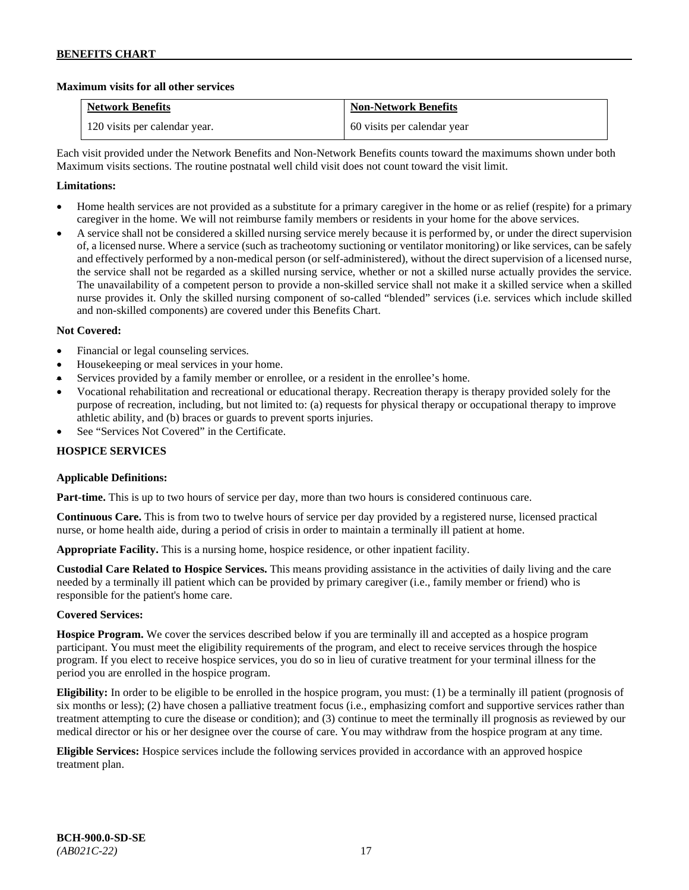### **Maximum visits for all other services**

| <b>Network Benefits</b>       | <b>Non-Network Benefits</b> |
|-------------------------------|-----------------------------|
| 120 visits per calendar year. | 60 visits per calendar year |

Each visit provided under the Network Benefits and Non-Network Benefits counts toward the maximums shown under both Maximum visits sections. The routine postnatal well child visit does not count toward the visit limit.

### **Limitations:**

- Home health services are not provided as a substitute for a primary caregiver in the home or as relief (respite) for a primary caregiver in the home. We will not reimburse family members or residents in your home for the above services.
- A service shall not be considered a skilled nursing service merely because it is performed by, or under the direct supervision of, a licensed nurse. Where a service (such as tracheotomy suctioning or ventilator monitoring) or like services, can be safely and effectively performed by a non-medical person (or self-administered), without the direct supervision of a licensed nurse, the service shall not be regarded as a skilled nursing service, whether or not a skilled nurse actually provides the service. The unavailability of a competent person to provide a non-skilled service shall not make it a skilled service when a skilled nurse provides it. Only the skilled nursing component of so-called "blended" services (i.e. services which include skilled and non-skilled components) are covered under this Benefits Chart.

### **Not Covered:**

- Financial or legal counseling services.
- Housekeeping or meal services in your home.
- Services provided by a family member or enrollee, or a resident in the enrollee's home.
- Vocational rehabilitation and recreational or educational therapy. Recreation therapy is therapy provided solely for the purpose of recreation, including, but not limited to: (a) requests for physical therapy or occupational therapy to improve athletic ability, and (b) braces or guards to prevent sports injuries.
- See "Services Not Covered" in the Certificate.

### **HOSPICE SERVICES**

### **Applicable Definitions:**

**Part-time.** This is up to two hours of service per day, more than two hours is considered continuous care.

**Continuous Care.** This is from two to twelve hours of service per day provided by a registered nurse, licensed practical nurse, or home health aide, during a period of crisis in order to maintain a terminally ill patient at home.

**Appropriate Facility.** This is a nursing home, hospice residence, or other inpatient facility.

**Custodial Care Related to Hospice Services.** This means providing assistance in the activities of daily living and the care needed by a terminally ill patient which can be provided by primary caregiver (i.e., family member or friend) who is responsible for the patient's home care.

### **Covered Services:**

**Hospice Program.** We cover the services described below if you are terminally ill and accepted as a hospice program participant. You must meet the eligibility requirements of the program, and elect to receive services through the hospice program. If you elect to receive hospice services, you do so in lieu of curative treatment for your terminal illness for the period you are enrolled in the hospice program.

**Eligibility:** In order to be eligible to be enrolled in the hospice program, you must: (1) be a terminally ill patient (prognosis of six months or less); (2) have chosen a palliative treatment focus (i.e., emphasizing comfort and supportive services rather than treatment attempting to cure the disease or condition); and (3) continue to meet the terminally ill prognosis as reviewed by our medical director or his or her designee over the course of care. You may withdraw from the hospice program at any time.

**Eligible Services:** Hospice services include the following services provided in accordance with an approved hospice treatment plan.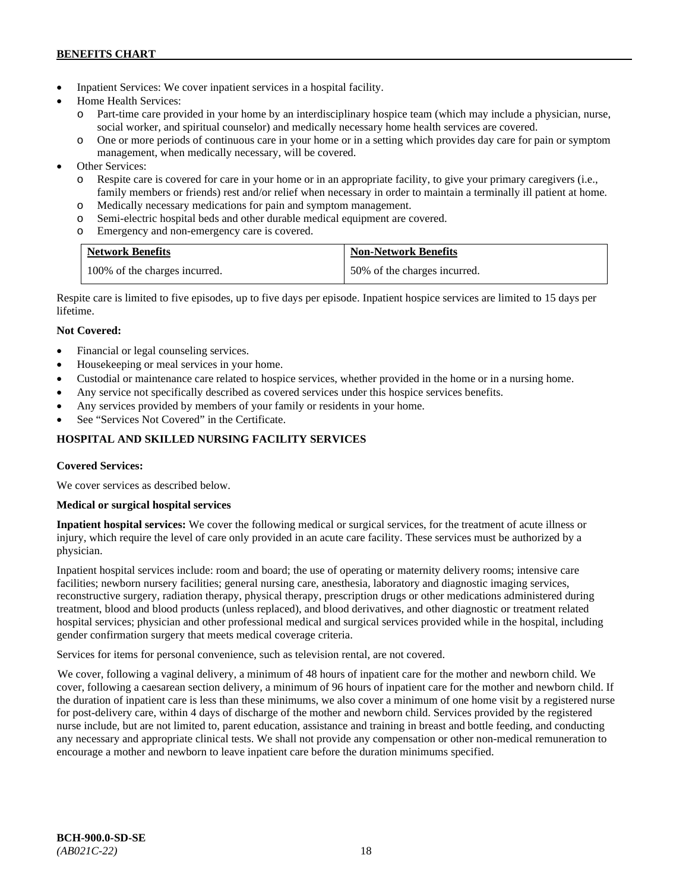- Inpatient Services: We cover inpatient services in a hospital facility.
- Home Health Services:
	- Part-time care provided in your home by an interdisciplinary hospice team (which may include a physician, nurse, social worker, and spiritual counselor) and medically necessary home health services are covered.
	- o One or more periods of continuous care in your home or in a setting which provides day care for pain or symptom management, when medically necessary, will be covered.
- Other Services:
	- o Respite care is covered for care in your home or in an appropriate facility, to give your primary caregivers (i.e., family members or friends) rest and/or relief when necessary in order to maintain a terminally ill patient at home*.*
	- o Medically necessary medications for pain and symptom management.
	- o Semi-electric hospital beds and other durable medical equipment are covered.
	- o Emergency and non-emergency care is covered.

| <b>Network Benefits</b>       | <b>Non-Network Benefits</b>  |
|-------------------------------|------------------------------|
| 100% of the charges incurred. | 50% of the charges incurred. |

Respite care is limited to five episodes, up to five days per episode. Inpatient hospice services are limited to 15 days per lifetime.

# **Not Covered:**

- Financial or legal counseling services.
- Housekeeping or meal services in your home.
- Custodial or maintenance care related to hospice services, whether provided in the home or in a nursing home.
- Any service not specifically described as covered services under this hospice services benefits.
- Any services provided by members of your family or residents in your home.
- See "Services Not Covered" in the Certificate.

# **HOSPITAL AND SKILLED NURSING FACILITY SERVICES**

### **Covered Services:**

We cover services as described below.

### **Medical or surgical hospital services**

**Inpatient hospital services:** We cover the following medical or surgical services, for the treatment of acute illness or injury, which require the level of care only provided in an acute care facility. These services must be authorized by a physician.

Inpatient hospital services include: room and board; the use of operating or maternity delivery rooms; intensive care facilities; newborn nursery facilities; general nursing care, anesthesia, laboratory and diagnostic imaging services, reconstructive surgery, radiation therapy, physical therapy, prescription drugs or other medications administered during treatment, blood and blood products (unless replaced), and blood derivatives, and other diagnostic or treatment related hospital services; physician and other professional medical and surgical services provided while in the hospital, including gender confirmation surgery that meets medical coverage criteria.

Services for items for personal convenience, such as television rental, are not covered.

We cover, following a vaginal delivery, a minimum of 48 hours of inpatient care for the mother and newborn child. We cover, following a caesarean section delivery, a minimum of 96 hours of inpatient care for the mother and newborn child. If the duration of inpatient care is less than these minimums, we also cover a minimum of one home visit by a registered nurse for post-delivery care, within 4 days of discharge of the mother and newborn child. Services provided by the registered nurse include, but are not limited to, parent education, assistance and training in breast and bottle feeding, and conducting any necessary and appropriate clinical tests. We shall not provide any compensation or other non-medical remuneration to encourage a mother and newborn to leave inpatient care before the duration minimums specified.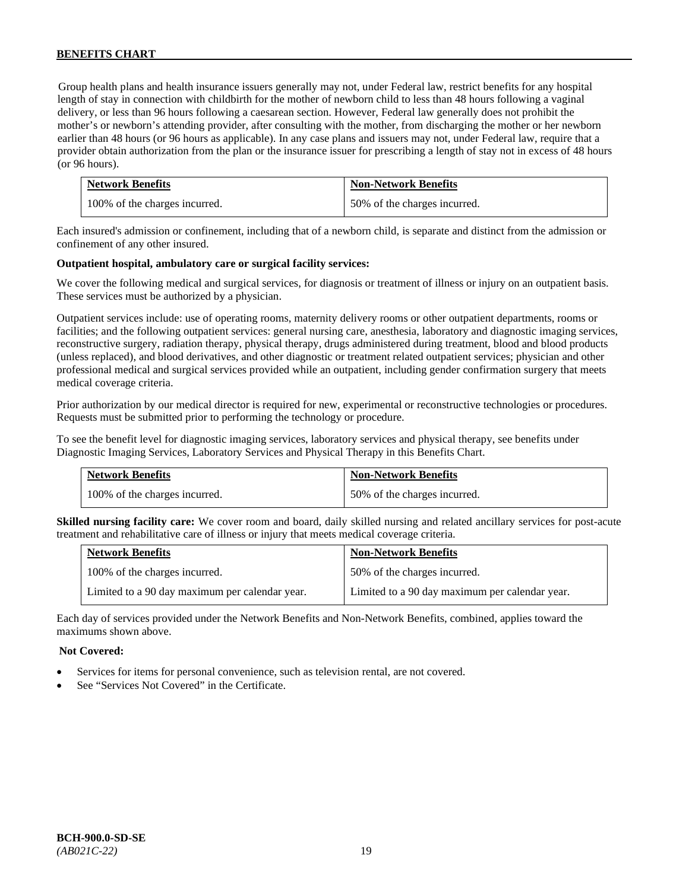Group health plans and health insurance issuers generally may not, under Federal law, restrict benefits for any hospital length of stay in connection with childbirth for the mother of newborn child to less than 48 hours following a vaginal delivery, or less than 96 hours following a caesarean section. However, Federal law generally does not prohibit the mother's or newborn's attending provider, after consulting with the mother, from discharging the mother or her newborn earlier than 48 hours (or 96 hours as applicable). In any case plans and issuers may not, under Federal law, require that a provider obtain authorization from the plan or the insurance issuer for prescribing a length of stay not in excess of 48 hours (or 96 hours).

| <b>Network Benefits</b>       | <b>Non-Network Benefits</b>  |
|-------------------------------|------------------------------|
| 100% of the charges incurred. | 50% of the charges incurred. |

Each insured's admission or confinement, including that of a newborn child, is separate and distinct from the admission or confinement of any other insured.

### **Outpatient hospital, ambulatory care or surgical facility services:**

We cover the following medical and surgical services, for diagnosis or treatment of illness or injury on an outpatient basis. These services must be authorized by a physician.

Outpatient services include: use of operating rooms, maternity delivery rooms or other outpatient departments, rooms or facilities; and the following outpatient services: general nursing care, anesthesia, laboratory and diagnostic imaging services, reconstructive surgery, radiation therapy, physical therapy, drugs administered during treatment, blood and blood products (unless replaced), and blood derivatives, and other diagnostic or treatment related outpatient services; physician and other professional medical and surgical services provided while an outpatient, including gender confirmation surgery that meets medical coverage criteria.

Prior authorization by our medical director is required for new, experimental or reconstructive technologies or procedures. Requests must be submitted prior to performing the technology or procedure.

To see the benefit level for diagnostic imaging services, laboratory services and physical therapy, see benefits under Diagnostic Imaging Services, Laboratory Services and Physical Therapy in this Benefits Chart.

| <b>Network Benefits</b>       | <b>Non-Network Benefits</b>  |
|-------------------------------|------------------------------|
| 100% of the charges incurred. | 50% of the charges incurred. |

**Skilled nursing facility care:** We cover room and board, daily skilled nursing and related ancillary services for post-acute treatment and rehabilitative care of illness or injury that meets medical coverage criteria.

| <b>Network Benefits</b>                        | <b>Non-Network Benefits</b>                    |
|------------------------------------------------|------------------------------------------------|
| 100% of the charges incurred.                  | 50% of the charges incurred.                   |
| Limited to a 90 day maximum per calendar year. | Limited to a 90 day maximum per calendar year. |

Each day of services provided under the Network Benefits and Non-Network Benefits, combined, applies toward the maximums shown above.

### **Not Covered:**

- Services for items for personal convenience, such as television rental, are not covered.
- See "Services Not Covered" in the Certificate.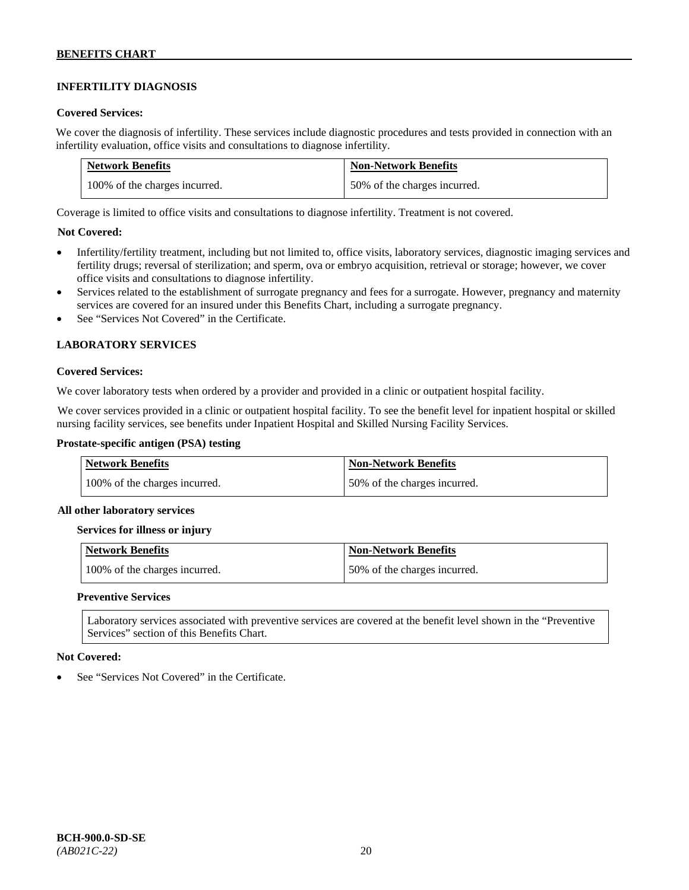# **INFERTILITY DIAGNOSIS**

#### **Covered Services:**

We cover the diagnosis of infertility. These services include diagnostic procedures and tests provided in connection with an infertility evaluation, office visits and consultations to diagnose infertility.

| <b>Network Benefits</b>       | <b>Non-Network Benefits</b>  |
|-------------------------------|------------------------------|
| 100% of the charges incurred. | 50% of the charges incurred. |

Coverage is limited to office visits and consultations to diagnose infertility. Treatment is not covered.

### **Not Covered:**

- Infertility/fertility treatment, including but not limited to, office visits, laboratory services, diagnostic imaging services and fertility drugs; reversal of sterilization; and sperm, ova or embryo acquisition, retrieval or storage; however, we cover office visits and consultations to diagnose infertility.
- Services related to the establishment of surrogate pregnancy and fees for a surrogate. However, pregnancy and maternity services are covered for an insured under this Benefits Chart, including a surrogate pregnancy.
- See "Services Not Covered" in the Certificate.

### **LABORATORY SERVICES**

#### **Covered Services:**

We cover laboratory tests when ordered by a provider and provided in a clinic or outpatient hospital facility.

We cover services provided in a clinic or outpatient hospital facility. To see the benefit level for inpatient hospital or skilled nursing facility services, see benefits under Inpatient Hospital and Skilled Nursing Facility Services.

### **Prostate-specific antigen (PSA) testing**

| <b>Network Benefits</b>       | <b>Non-Network Benefits</b>  |
|-------------------------------|------------------------------|
| 100% of the charges incurred. | 50% of the charges incurred. |

#### **All other laboratory services**

#### **Services for illness or injury**

| Network Benefits              | <b>Non-Network Benefits</b>  |
|-------------------------------|------------------------------|
| 100% of the charges incurred. | 50% of the charges incurred. |

#### **Preventive Services**

Laboratory services associated with preventive services are covered at the benefit level shown in the "Preventive Services" section of this Benefits Chart.

#### **Not Covered:**

See "Services Not Covered" in the Certificate.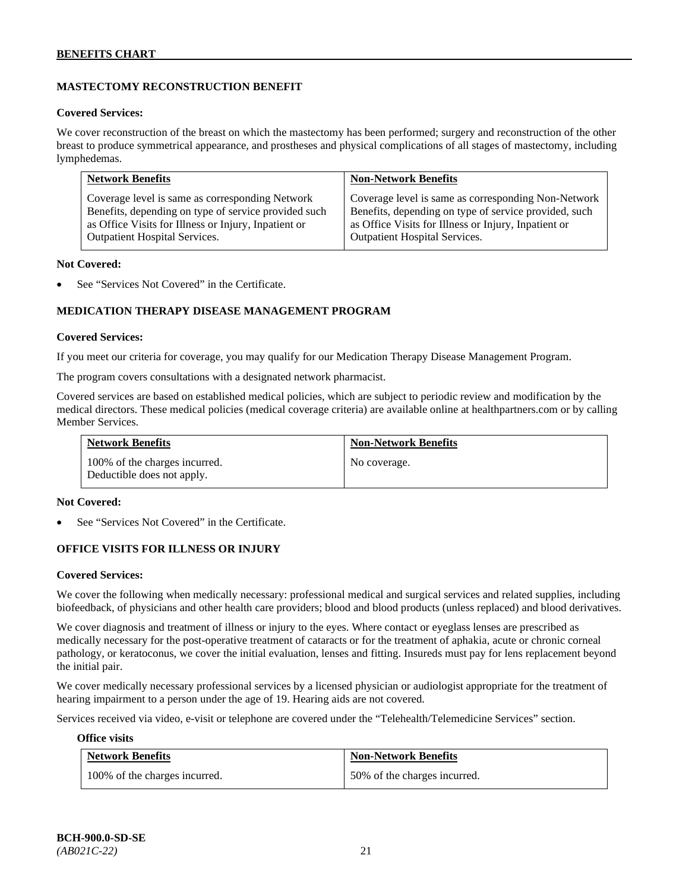# **MASTECTOMY RECONSTRUCTION BENEFIT**

#### **Covered Services:**

We cover reconstruction of the breast on which the mastectomy has been performed; surgery and reconstruction of the other breast to produce symmetrical appearance, and prostheses and physical complications of all stages of mastectomy, including lymphedemas.

| <b>Network Benefits</b>                              | <b>Non-Network Benefits</b>                           |
|------------------------------------------------------|-------------------------------------------------------|
| Coverage level is same as corresponding Network      | Coverage level is same as corresponding Non-Network   |
| Benefits, depending on type of service provided such | Benefits, depending on type of service provided, such |
| as Office Visits for Illness or Injury, Inpatient or | as Office Visits for Illness or Injury, Inpatient or  |
| Outpatient Hospital Services.                        | <b>Outpatient Hospital Services.</b>                  |

#### **Not Covered:**

See "Services Not Covered" in the Certificate.

### **MEDICATION THERAPY DISEASE MANAGEMENT PROGRAM**

#### **Covered Services:**

If you meet our criteria for coverage, you may qualify for our Medication Therapy Disease Management Program.

The program covers consultations with a designated network pharmacist.

Covered services are based on established medical policies, which are subject to periodic review and modification by the medical directors. These medical policies (medical coverage criteria) are available online at [healthpartners.com](http://www.healthpartners.com/) or by calling Member Services.

| <b>Network Benefits</b>                                     | <b>Non-Network Benefits</b> |
|-------------------------------------------------------------|-----------------------------|
| 100% of the charges incurred.<br>Deductible does not apply. | No coverage.                |

#### **Not Covered:**

See "Services Not Covered" in the Certificate.

### **OFFICE VISITS FOR ILLNESS OR INJURY**

#### **Covered Services:**

We cover the following when medically necessary: professional medical and surgical services and related supplies, including biofeedback, of physicians and other health care providers; blood and blood products (unless replaced) and blood derivatives.

We cover diagnosis and treatment of illness or injury to the eyes. Where contact or eyeglass lenses are prescribed as medically necessary for the post-operative treatment of cataracts or for the treatment of aphakia, acute or chronic corneal pathology, or keratoconus, we cover the initial evaluation, lenses and fitting. Insureds must pay for lens replacement beyond the initial pair.

We cover medically necessary professional services by a licensed physician or audiologist appropriate for the treatment of hearing impairment to a person under the age of 19. Hearing aids are not covered.

Services received via video, e-visit or telephone are covered under the "Telehealth/Telemedicine Services" section.

#### **Office visits**

| <b>Network Benefits</b>       | <b>Non-Network Benefits</b>  |
|-------------------------------|------------------------------|
| 100% of the charges incurred. | 50% of the charges incurred. |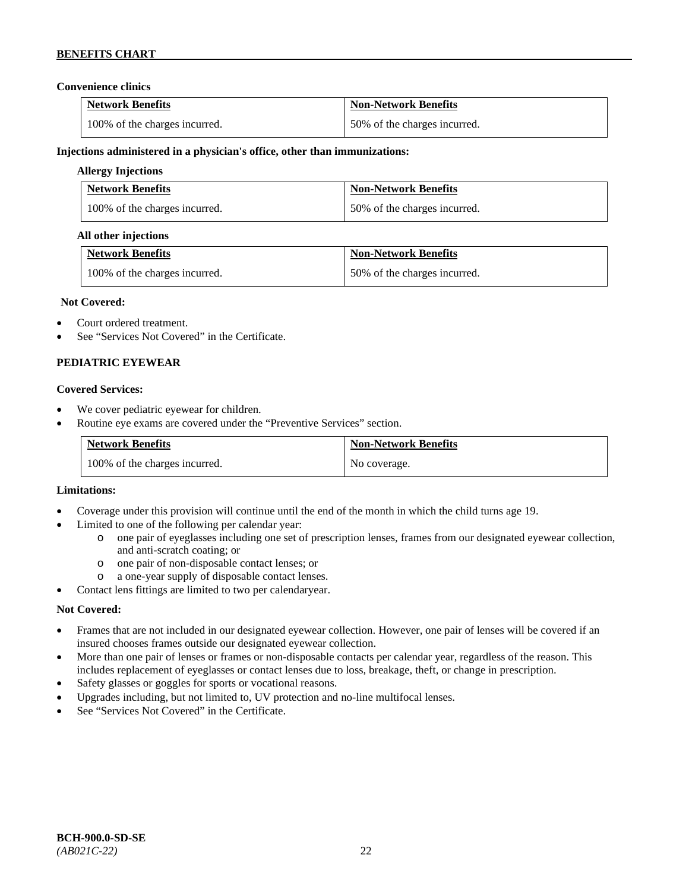### **Convenience clinics**

| <b>Network Benefits</b>       | <b>Non-Network Benefits</b>  |
|-------------------------------|------------------------------|
| 100% of the charges incurred. | 50% of the charges incurred. |

#### **Injections administered in a physician's office, other than immunizations:**

### **Allergy Injections**

| <b>Network Benefits</b>       | <b>Non-Network Benefits</b>  |
|-------------------------------|------------------------------|
| 100% of the charges incurred. | 50% of the charges incurred. |

#### **All other injections**

| <b>Network Benefits</b>       | <b>Non-Network Benefits</b>  |
|-------------------------------|------------------------------|
| 100% of the charges incurred. | 50% of the charges incurred. |

#### **Not Covered:**

- Court ordered treatment.
- See "Services Not Covered" in the Certificate.

### **PEDIATRIC EYEWEAR**

#### **Covered Services:**

- We cover pediatric eyewear for children.
- Routine eye exams are covered under the "Preventive Services" section.

| <b>Network Benefits</b>       | <b>Non-Network Benefits</b> |
|-------------------------------|-----------------------------|
| 100% of the charges incurred. | No coverage.                |

#### **Limitations:**

- Coverage under this provision will continue until the end of the month in which the child turns age 19.
- Limited to one of the following per calendar year:
	- o one pair of eyeglasses including one set of prescription lenses, frames from our designated eyewear collection, and anti-scratch coating; or
	- o one pair of non-disposable contact lenses; or
	- a one-year supply of disposable contact lenses.
- Contact lens fittings are limited to two per calendaryear.

### **Not Covered:**

- Frames that are not included in our designated eyewear collection. However, one pair of lenses will be covered if an insured chooses frames outside our designated eyewear collection.
- More than one pair of lenses or frames or non-disposable contacts per calendar year, regardless of the reason. This includes replacement of eyeglasses or contact lenses due to loss, breakage, theft, or change in prescription.
- Safety glasses or goggles for sports or vocational reasons.
- Upgrades including, but not limited to, UV protection and no-line multifocal lenses.
- See "Services Not Covered" in the Certificate.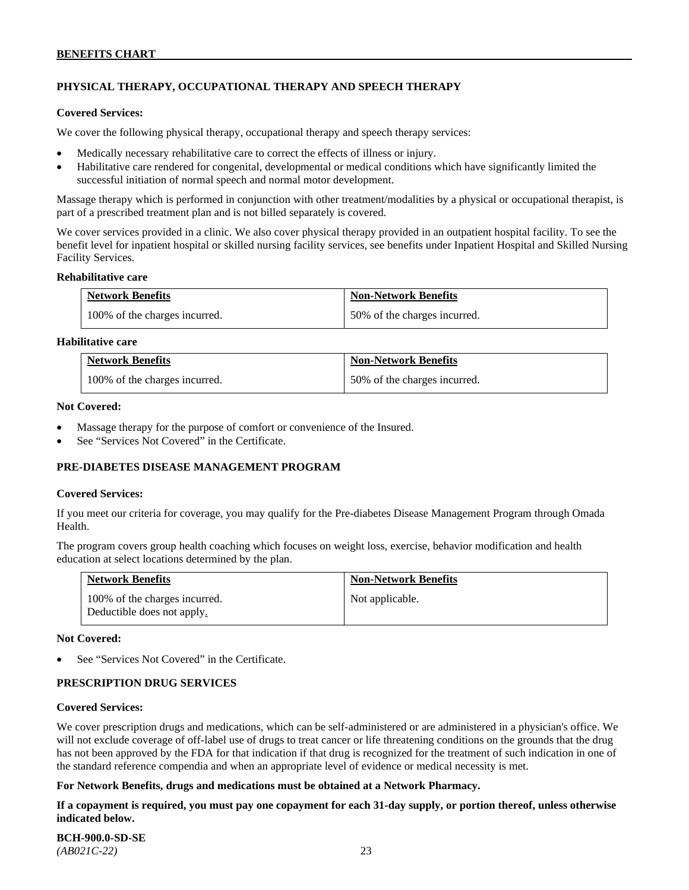# **PHYSICAL THERAPY, OCCUPATIONAL THERAPY AND SPEECH THERAPY**

#### **Covered Services:**

We cover the following physical therapy, occupational therapy and speech therapy services:

- Medically necessary rehabilitative care to correct the effects of illness or injury.
- Habilitative care rendered for congenital, developmental or medical conditions which have significantly limited the successful initiation of normal speech and normal motor development.

Massage therapy which is performed in conjunction with other treatment/modalities by a physical or occupational therapist, is part of a prescribed treatment plan and is not billed separately is covered.

We cover services provided in a clinic. We also cover physical therapy provided in an outpatient hospital facility. To see the benefit level for inpatient hospital or skilled nursing facility services, see benefits under Inpatient Hospital and Skilled Nursing Facility Services.

#### **Rehabilitative care**

| <b>Network Benefits</b>       | <b>Non-Network Benefits</b>  |
|-------------------------------|------------------------------|
| 100% of the charges incurred. | 50% of the charges incurred. |

### **Habilitative care**

| <b>Network Benefits</b>       | <b>Non-Network Benefits</b>  |
|-------------------------------|------------------------------|
| 100% of the charges incurred. | 50% of the charges incurred. |

#### **Not Covered:**

- Massage therapy for the purpose of comfort or convenience of the Insured.
- See "Services Not Covered" in the Certificate.

### **PRE-DIABETES DISEASE MANAGEMENT PROGRAM**

#### **Covered Services:**

If you meet our criteria for coverage, you may qualify for the Pre-diabetes Disease Management Program through Omada Health.

The program covers group health coaching which focuses on weight loss, exercise, behavior modification and health education at select locations determined by the plan.

| <b>Network Benefits</b>                                     | <b>Non-Network Benefits</b> |
|-------------------------------------------------------------|-----------------------------|
| 100% of the charges incurred.<br>Deductible does not apply. | Not applicable.             |

#### **Not Covered:**

See "Services Not Covered" in the Certificate.

### **PRESCRIPTION DRUG SERVICES**

#### **Covered Services:**

We cover prescription drugs and medications, which can be self-administered or are administered in a physician's office. We will not exclude coverage of off-label use of drugs to treat cancer or life threatening conditions on the grounds that the drug has not been approved by the FDA for that indication if that drug is recognized for the treatment of such indication in one of the standard reference compendia and when an appropriate level of evidence or medical necessity is met.

### **For Network Benefits, drugs and medications must be obtained at a Network Pharmacy.**

**If a copayment is required, you must pay one copayment for each 31-day supply, or portion thereof, unless otherwise indicated below.**

**BCH-900.0-SD-SE**  *(AB021C-22)* 23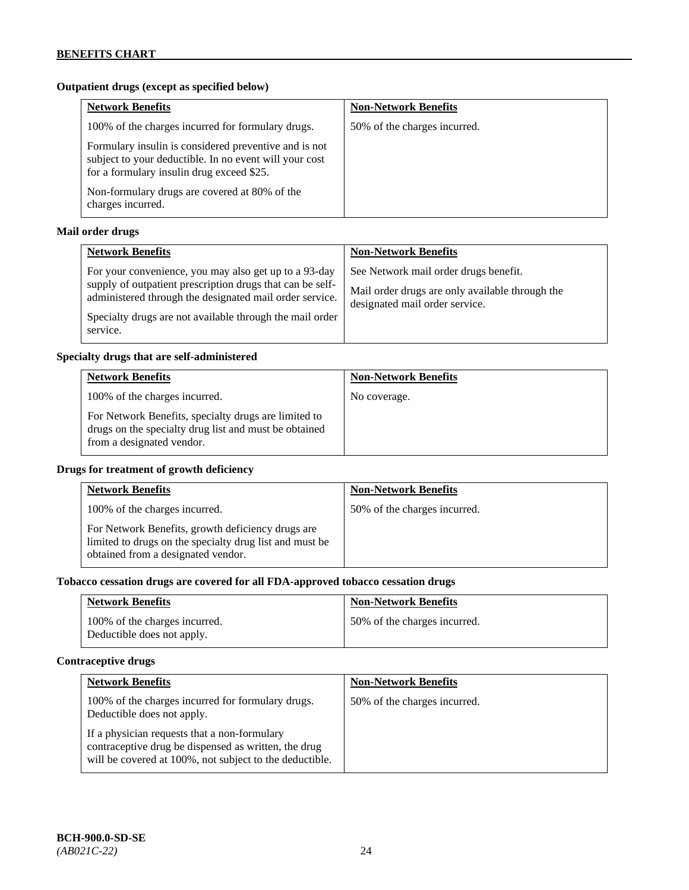# **Outpatient drugs (except as specified below)**

| <b>Network Benefits</b>                                                                                                                                      | <b>Non-Network Benefits</b>  |
|--------------------------------------------------------------------------------------------------------------------------------------------------------------|------------------------------|
| 100% of the charges incurred for formulary drugs.                                                                                                            | 50% of the charges incurred. |
| Formulary insulin is considered preventive and is not<br>subject to your deductible. In no event will your cost<br>for a formulary insulin drug exceed \$25. |                              |
| Non-formulary drugs are covered at 80% of the<br>charges incurred.                                                                                           |                              |

# **Mail order drugs**

| <b>Network Benefits</b>                                                                                                                                                                                                                               | <b>Non-Network Benefits</b>                                                                                                |
|-------------------------------------------------------------------------------------------------------------------------------------------------------------------------------------------------------------------------------------------------------|----------------------------------------------------------------------------------------------------------------------------|
| For your convenience, you may also get up to a 93-day<br>supply of outpatient prescription drugs that can be self-<br>administered through the designated mail order service.<br>Specialty drugs are not available through the mail order<br>service. | See Network mail order drugs benefit.<br>Mail order drugs are only available through the<br>designated mail order service. |

### **Specialty drugs that are self-administered**

| <b>Network Benefits</b>                                                                                                                    | <b>Non-Network Benefits</b> |
|--------------------------------------------------------------------------------------------------------------------------------------------|-----------------------------|
| 100% of the charges incurred.                                                                                                              | No coverage.                |
| For Network Benefits, specialty drugs are limited to<br>drugs on the specialty drug list and must be obtained<br>from a designated vendor. |                             |

# **Drugs for treatment of growth deficiency**

| <b>Network Benefits</b>                                                                                                                            | <b>Non-Network Benefits</b>  |
|----------------------------------------------------------------------------------------------------------------------------------------------------|------------------------------|
| 100% of the charges incurred.                                                                                                                      | 50% of the charges incurred. |
| For Network Benefits, growth deficiency drugs are<br>limited to drugs on the specialty drug list and must be<br>obtained from a designated vendor. |                              |

# **Tobacco cessation drugs are covered for all FDA-approved tobacco cessation drugs**

| <b>Network Benefits</b>                                     | <b>Non-Network Benefits</b>  |
|-------------------------------------------------------------|------------------------------|
| 100% of the charges incurred.<br>Deductible does not apply. | 50% of the charges incurred. |

# **Contraceptive drugs**

| <b>Network Benefits</b>                                                                                                                                         | <b>Non-Network Benefits</b>  |
|-----------------------------------------------------------------------------------------------------------------------------------------------------------------|------------------------------|
| 100% of the charges incurred for formulary drugs.<br>Deductible does not apply.                                                                                 | 50% of the charges incurred. |
| If a physician requests that a non-formulary<br>contraceptive drug be dispensed as written, the drug<br>will be covered at 100%, not subject to the deductible. |                              |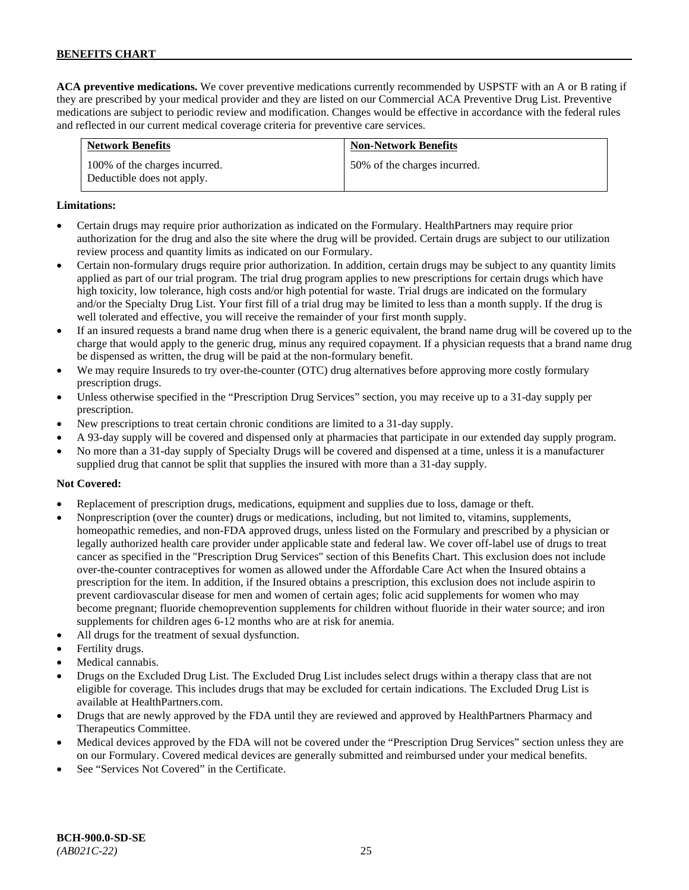**ACA preventive medications.** We cover preventive medications currently recommended by USPSTF with an A or B rating if they are prescribed by your medical provider and they are listed on our Commercial ACA Preventive Drug List. Preventive medications are subject to periodic review and modification. Changes would be effective in accordance with the federal rules and reflected in our current medical coverage criteria for preventive care services.

| <b>Network Benefits</b>                                     | <b>Non-Network Benefits</b>  |
|-------------------------------------------------------------|------------------------------|
| 100% of the charges incurred.<br>Deductible does not apply. | 50% of the charges incurred. |

### **Limitations:**

- Certain drugs may require prior authorization as indicated on the Formulary. HealthPartners may require prior authorization for the drug and also the site where the drug will be provided. Certain drugs are subject to our utilization review process and quantity limits as indicated on our Formulary.
- Certain non-formulary drugs require prior authorization. In addition, certain drugs may be subject to any quantity limits applied as part of our trial program. The trial drug program applies to new prescriptions for certain drugs which have high toxicity, low tolerance, high costs and/or high potential for waste. Trial drugs are indicated on the formulary and/or the Specialty Drug List. Your first fill of a trial drug may be limited to less than a month supply. If the drug is well tolerated and effective, you will receive the remainder of your first month supply.
- If an insured requests a brand name drug when there is a generic equivalent, the brand name drug will be covered up to the charge that would apply to the generic drug, minus any required copayment. If a physician requests that a brand name drug be dispensed as written, the drug will be paid at the non-formulary benefit.
- We may require Insureds to try over-the-counter (OTC) drug alternatives before approving more costly formulary prescription drugs.
- Unless otherwise specified in the "Prescription Drug Services" section, you may receive up to a 31-day supply per prescription.
- New prescriptions to treat certain chronic conditions are limited to a 31-day supply.
- A 93-day supply will be covered and dispensed only at pharmacies that participate in our extended day supply program.
- No more than a 31-day supply of Specialty Drugs will be covered and dispensed at a time, unless it is a manufacturer supplied drug that cannot be split that supplies the insured with more than a 31-day supply.

### **Not Covered:**

- Replacement of prescription drugs, medications, equipment and supplies due to loss, damage or theft.
- Nonprescription (over the counter) drugs or medications, including, but not limited to, vitamins, supplements, homeopathic remedies, and non-FDA approved drugs, unless listed on the Formulary and prescribed by a physician or legally authorized health care provider under applicable state and federal law. We cover off-label use of drugs to treat cancer as specified in the "Prescription Drug Services" section of this Benefits Chart. This exclusion does not include over-the-counter contraceptives for women as allowed under the Affordable Care Act when the Insured obtains a prescription for the item. In addition, if the Insured obtains a prescription, this exclusion does not include aspirin to prevent cardiovascular disease for men and women of certain ages; folic acid supplements for women who may become pregnant; fluoride chemoprevention supplements for children without fluoride in their water source; and iron supplements for children ages 6-12 months who are at risk for anemia.
- All drugs for the treatment of sexual dysfunction.
- Fertility drugs.
- Medical cannabis.
- Drugs on the Excluded Drug List. The Excluded Drug List includes select drugs within a therapy class that are not eligible for coverage. This includes drugs that may be excluded for certain indications. The Excluded Drug List is available a[t HealthPartners.com.](http://www.healthpartners.com/)
- Drugs that are newly approved by the FDA until they are reviewed and approved by HealthPartners Pharmacy and Therapeutics Committee.
- Medical devices approved by the FDA will not be covered under the "Prescription Drug Services" section unless they are on our Formulary. Covered medical devices are generally submitted and reimbursed under your medical benefits.
- See "Services Not Covered" in the Certificate.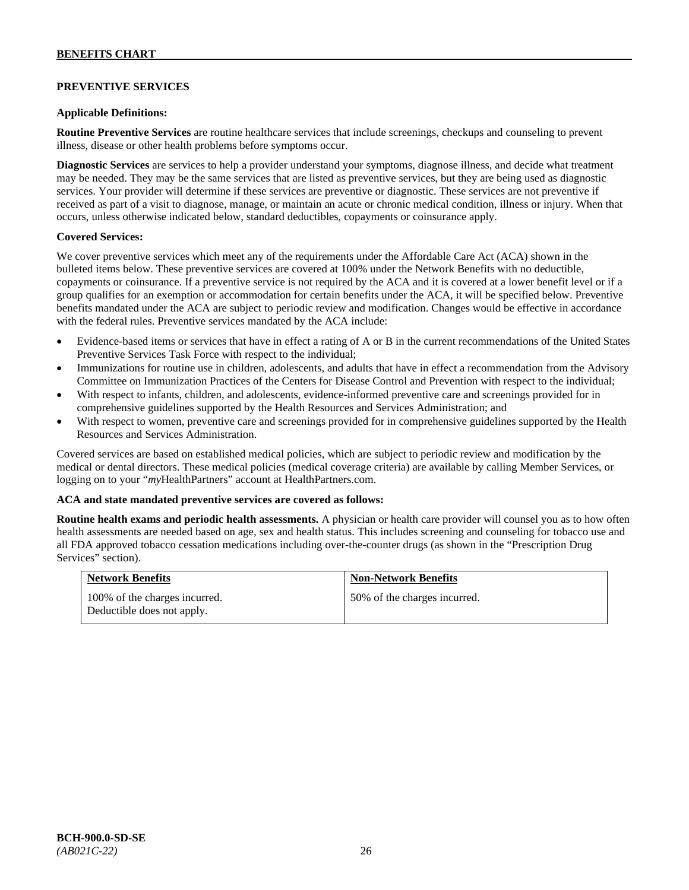### **PREVENTIVE SERVICES**

#### **Applicable Definitions:**

**Routine Preventive Services** are routine healthcare services that include screenings, checkups and counseling to prevent illness, disease or other health problems before symptoms occur.

**Diagnostic Services** are services to help a provider understand your symptoms, diagnose illness, and decide what treatment may be needed. They may be the same services that are listed as preventive services, but they are being used as diagnostic services. Your provider will determine if these services are preventive or diagnostic. These services are not preventive if received as part of a visit to diagnose, manage, or maintain an acute or chronic medical condition, illness or injury. When that occurs, unless otherwise indicated below, standard deductibles, copayments or coinsurance apply.

#### **Covered Services:**

We cover preventive services which meet any of the requirements under the Affordable Care Act (ACA) shown in the bulleted items below. These preventive services are covered at 100% under the Network Benefits with no deductible, copayments or coinsurance. If a preventive service is not required by the ACA and it is covered at a lower benefit level or if a group qualifies for an exemption or accommodation for certain benefits under the ACA, it will be specified below. Preventive benefits mandated under the ACA are subject to periodic review and modification. Changes would be effective in accordance with the federal rules. Preventive services mandated by the ACA include:

- Evidence-based items or services that have in effect a rating of A or B in the current recommendations of the United States Preventive Services Task Force with respect to the individual;
- Immunizations for routine use in children, adolescents, and adults that have in effect a recommendation from the Advisory Committee on Immunization Practices of the Centers for Disease Control and Prevention with respect to the individual;
- With respect to infants, children, and adolescents, evidence-informed preventive care and screenings provided for in comprehensive guidelines supported by the Health Resources and Services Administration; and
- With respect to women, preventive care and screenings provided for in comprehensive guidelines supported by the Health Resources and Services Administration.

Covered services are based on established medical policies, which are subject to periodic review and modification by the medical or dental directors. These medical policies (medical coverage criteria) are available by calling Member Services, or logging on to your "*my*HealthPartners" account at [HealthPartners.com.](http://www.healthpartners.com/)

#### **ACA and state mandated preventive services are covered as follows:**

**Routine health exams and periodic health assessments.** A physician or health care provider will counsel you as to how often health assessments are needed based on age, sex and health status. This includes screening and counseling for tobacco use and all FDA approved tobacco cessation medications including over-the-counter drugs (as shown in the "Prescription Drug Services" section).

| <b>Network Benefits</b>                                     | <b>Non-Network Benefits</b>  |
|-------------------------------------------------------------|------------------------------|
| 100% of the charges incurred.<br>Deductible does not apply. | 50% of the charges incurred. |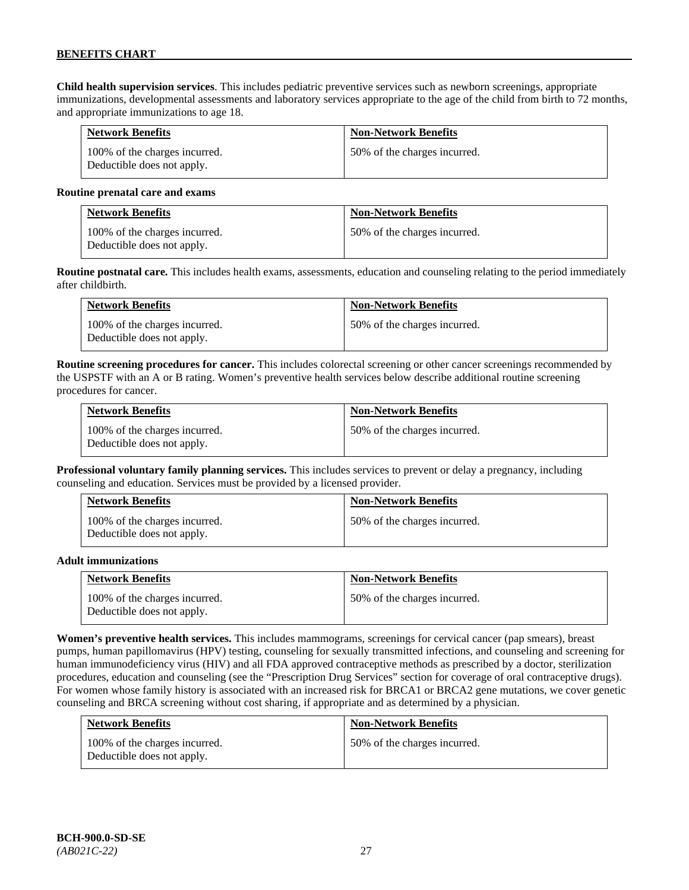**Child health supervision services**. This includes pediatric preventive services such as newborn screenings, appropriate immunizations, developmental assessments and laboratory services appropriate to the age of the child from birth to 72 months, and appropriate immunizations to age 18.

| <b>Network Benefits</b>                                     | <b>Non-Network Benefits</b>  |
|-------------------------------------------------------------|------------------------------|
| 100% of the charges incurred.<br>Deductible does not apply. | 50% of the charges incurred. |

#### **Routine prenatal care and exams**

| <b>Network Benefits</b>                                     | <b>Non-Network Benefits</b>  |
|-------------------------------------------------------------|------------------------------|
| 100% of the charges incurred.<br>Deductible does not apply. | 50% of the charges incurred. |

**Routine postnatal care.** This includes health exams, assessments, education and counseling relating to the period immediately after childbirth.

| <b>Network Benefits</b>                                     | <b>Non-Network Benefits</b>  |
|-------------------------------------------------------------|------------------------------|
| 100% of the charges incurred.<br>Deductible does not apply. | 50% of the charges incurred. |

**Routine screening procedures for cancer.** This includes colorectal screening or other cancer screenings recommended by the USPSTF with an A or B rating. Women's preventive health services below describe additional routine screening procedures for cancer.

| <b>Network Benefits</b>                                     | <b>Non-Network Benefits</b>  |
|-------------------------------------------------------------|------------------------------|
| 100% of the charges incurred.<br>Deductible does not apply. | 50% of the charges incurred. |

**Professional voluntary family planning services.** This includes services to prevent or delay a pregnancy, including counseling and education. Services must be provided by a licensed provider.

| <b>Network Benefits</b>                                     | <b>Non-Network Benefits</b>  |
|-------------------------------------------------------------|------------------------------|
| 100% of the charges incurred.<br>Deductible does not apply. | 50% of the charges incurred. |

#### **Adult immunizations**

| <b>Network Benefits</b>                                     | <b>Non-Network Benefits</b>  |
|-------------------------------------------------------------|------------------------------|
| 100% of the charges incurred.<br>Deductible does not apply. | 50% of the charges incurred. |

**Women's preventive health services.** This includes mammograms, screenings for cervical cancer (pap smears), breast pumps, human papillomavirus (HPV) testing, counseling for sexually transmitted infections, and counseling and screening for human immunodeficiency virus (HIV) and all FDA approved contraceptive methods as prescribed by a doctor, sterilization procedures, education and counseling (see the "Prescription Drug Services" section for coverage of oral contraceptive drugs). For women whose family history is associated with an increased risk for BRCA1 or BRCA2 gene mutations, we cover genetic counseling and BRCA screening without cost sharing, if appropriate and as determined by a physician.

| <b>Network Benefits</b>                                     | <b>Non-Network Benefits</b>  |
|-------------------------------------------------------------|------------------------------|
| 100% of the charges incurred.<br>Deductible does not apply. | 50% of the charges incurred. |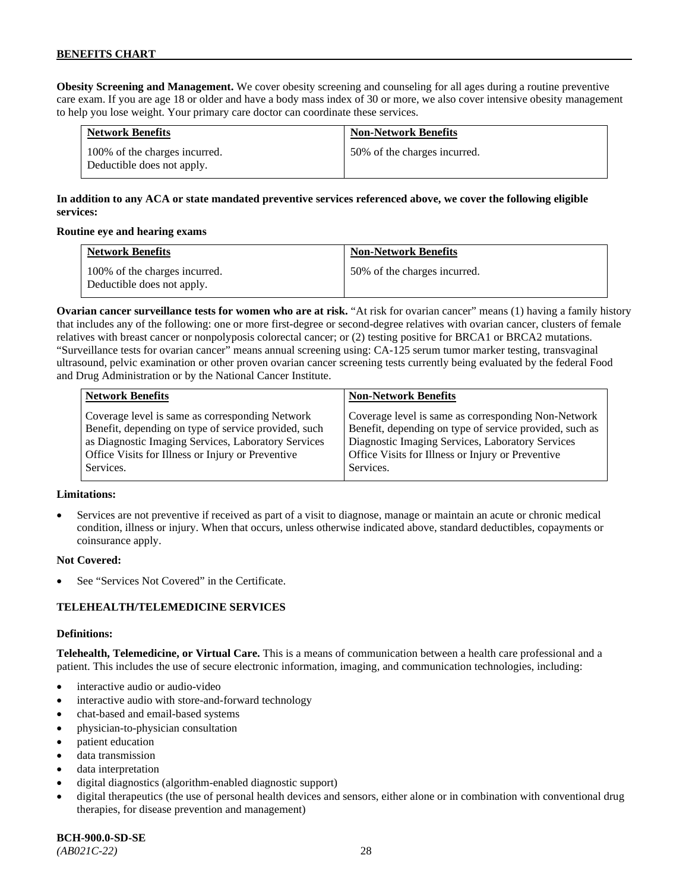**Obesity Screening and Management.** We cover obesity screening and counseling for all ages during a routine preventive care exam. If you are age 18 or older and have a body mass index of 30 or more, we also cover intensive obesity management to help you lose weight. Your primary care doctor can coordinate these services.

| <b>Network Benefits</b>                                     | <b>Non-Network Benefits</b>  |
|-------------------------------------------------------------|------------------------------|
| 100% of the charges incurred.<br>Deductible does not apply. | 50% of the charges incurred. |

# **In addition to any ACA or state mandated preventive services referenced above, we cover the following eligible services:**

#### **Routine eye and hearing exams**

| <b>Network Benefits</b>                                     | <b>Non-Network Benefits</b>  |
|-------------------------------------------------------------|------------------------------|
| 100% of the charges incurred.<br>Deductible does not apply. | 50% of the charges incurred. |

**Ovarian cancer surveillance tests for women who are at risk.** "At risk for ovarian cancer" means (1) having a family history that includes any of the following: one or more first-degree or second-degree relatives with ovarian cancer, clusters of female relatives with breast cancer or nonpolyposis colorectal cancer; or (2) testing positive for BRCA1 or BRCA2 mutations. "Surveillance tests for ovarian cancer" means annual screening using: CA-125 serum tumor marker testing, transvaginal ultrasound, pelvic examination or other proven ovarian cancer screening tests currently being evaluated by the federal Food and Drug Administration or by the National Cancer Institute.

| <b>Network Benefits</b>                              | <b>Non-Network Benefits</b>                             |
|------------------------------------------------------|---------------------------------------------------------|
| Coverage level is same as corresponding Network      | Coverage level is same as corresponding Non-Network     |
| Benefit, depending on type of service provided, such | Benefit, depending on type of service provided, such as |
| as Diagnostic Imaging Services, Laboratory Services  | Diagnostic Imaging Services, Laboratory Services        |
| Office Visits for Illness or Injury or Preventive    | Office Visits for Illness or Injury or Preventive       |
| Services.                                            | Services.                                               |

#### **Limitations:**

• Services are not preventive if received as part of a visit to diagnose, manage or maintain an acute or chronic medical condition, illness or injury. When that occurs, unless otherwise indicated above, standard deductibles, copayments or coinsurance apply.

### **Not Covered:**

See "Services Not Covered" in the Certificate.

### **TELEHEALTH/TELEMEDICINE SERVICES**

#### **Definitions:**

**Telehealth, Telemedicine, or Virtual Care.** This is a means of communication between a health care professional and a patient. This includes the use of secure electronic information, imaging, and communication technologies, including:

- interactive audio or audio-video
- interactive audio with store-and-forward technology
- chat-based and email-based systems
- physician-to-physician consultation
- patient education
- data transmission
- data interpretation
- digital diagnostics (algorithm-enabled diagnostic support)
- digital therapeutics (the use of personal health devices and sensors, either alone or in combination with conventional drug therapies, for disease prevention and management)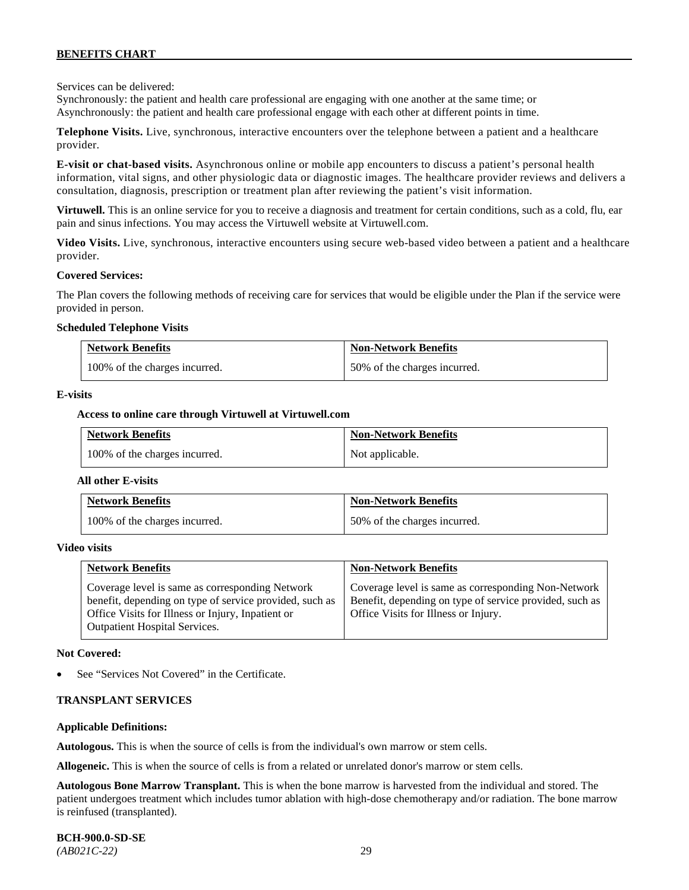Services can be delivered:

Synchronously: the patient and health care professional are engaging with one another at the same time; or Asynchronously: the patient and health care professional engage with each other at different points in time.

**Telephone Visits.** Live, synchronous, interactive encounters over the telephone between a patient and a healthcare provider.

**E-visit or chat-based visits.** Asynchronous online or mobile app encounters to discuss a patient's personal health information, vital signs, and other physiologic data or diagnostic images. The healthcare provider reviews and delivers a consultation, diagnosis, prescription or treatment plan after reviewing the patient's visit information.

**Virtuwell.** This is an online service for you to receive a diagnosis and treatment for certain conditions, such as a cold, flu, ear pain and sinus infections. You may access the Virtuwell website at [Virtuwell.com.](https://www.virtuwell.com/)

**Video Visits.** Live, synchronous, interactive encounters using secure web-based video between a patient and a healthcare provider.

#### **Covered Services:**

The Plan covers the following methods of receiving care for services that would be eligible under the Plan if the service were provided in person.

#### **Scheduled Telephone Visits**

| <b>Network Benefits</b>       | <b>Non-Network Benefits</b>  |
|-------------------------------|------------------------------|
| 100% of the charges incurred. | 50% of the charges incurred. |

#### **E-visits**

#### **Access to online care through Virtuwell at [Virtuwell.com](http://www.virtuwell.com/)**

| <b>Network Benefits</b>       | <b>Non-Network Benefits</b> |
|-------------------------------|-----------------------------|
| 100% of the charges incurred. | Not applicable.             |

#### **All other E-visits**

| <b>Network Benefits</b>       | <b>Non-Network Benefits</b>  |
|-------------------------------|------------------------------|
| 100% of the charges incurred. | 50% of the charges incurred. |

#### **Video visits**

| <b>Network Benefits</b>                                                                                                                                                                          | <b>Non-Network Benefits</b>                                                                                                                            |
|--------------------------------------------------------------------------------------------------------------------------------------------------------------------------------------------------|--------------------------------------------------------------------------------------------------------------------------------------------------------|
| Coverage level is same as corresponding Network<br>benefit, depending on type of service provided, such as<br>Office Visits for Illness or Injury, Inpatient or<br>Outpatient Hospital Services. | Coverage level is same as corresponding Non-Network<br>Benefit, depending on type of service provided, such as<br>Office Visits for Illness or Injury. |

#### **Not Covered:**

See "Services Not Covered" in the Certificate.

#### **TRANSPLANT SERVICES**

#### **Applicable Definitions:**

**Autologous.** This is when the source of cells is from the individual's own marrow or stem cells.

**Allogeneic.** This is when the source of cells is from a related or unrelated donor's marrow or stem cells.

**Autologous Bone Marrow Transplant.** This is when the bone marrow is harvested from the individual and stored. The patient undergoes treatment which includes tumor ablation with high-dose chemotherapy and/or radiation. The bone marrow is reinfused (transplanted).

**BCH-900.0-SD-SE**  *(AB021C-22)* 29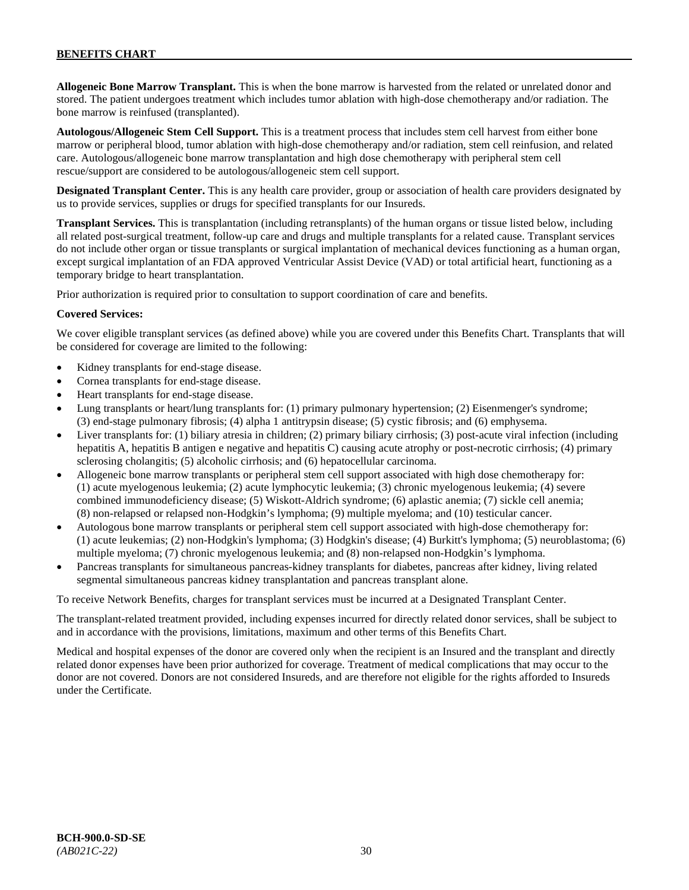**Allogeneic Bone Marrow Transplant.** This is when the bone marrow is harvested from the related or unrelated donor and stored. The patient undergoes treatment which includes tumor ablation with high-dose chemotherapy and/or radiation. The bone marrow is reinfused (transplanted).

**Autologous/Allogeneic Stem Cell Support.** This is a treatment process that includes stem cell harvest from either bone marrow or peripheral blood, tumor ablation with high-dose chemotherapy and/or radiation, stem cell reinfusion, and related care. Autologous/allogeneic bone marrow transplantation and high dose chemotherapy with peripheral stem cell rescue/support are considered to be autologous/allogeneic stem cell support.

**Designated Transplant Center.** This is any health care provider, group or association of health care providers designated by us to provide services, supplies or drugs for specified transplants for our Insureds.

**Transplant Services.** This is transplantation (including retransplants) of the human organs or tissue listed below, including all related post-surgical treatment, follow-up care and drugs and multiple transplants for a related cause. Transplant services do not include other organ or tissue transplants or surgical implantation of mechanical devices functioning as a human organ, except surgical implantation of an FDA approved Ventricular Assist Device (VAD) or total artificial heart, functioning as a temporary bridge to heart transplantation.

Prior authorization is required prior to consultation to support coordination of care and benefits.

#### **Covered Services:**

We cover eligible transplant services (as defined above) while you are covered under this Benefits Chart. Transplants that will be considered for coverage are limited to the following:

- Kidney transplants for end-stage disease.
- Cornea transplants for end-stage disease.
- Heart transplants for end-stage disease.
- Lung transplants or heart/lung transplants for: (1) primary pulmonary hypertension; (2) Eisenmenger's syndrome; (3) end-stage pulmonary fibrosis; (4) alpha 1 antitrypsin disease; (5) cystic fibrosis; and (6) emphysema.
- Liver transplants for: (1) biliary atresia in children; (2) primary biliary cirrhosis; (3) post-acute viral infection (including hepatitis A, hepatitis B antigen e negative and hepatitis C) causing acute atrophy or post-necrotic cirrhosis; (4) primary sclerosing cholangitis; (5) alcoholic cirrhosis; and (6) hepatocellular carcinoma.
- Allogeneic bone marrow transplants or peripheral stem cell support associated with high dose chemotherapy for: (1) acute myelogenous leukemia; (2) acute lymphocytic leukemia; (3) chronic myelogenous leukemia; (4) severe combined immunodeficiency disease; (5) Wiskott-Aldrich syndrome; (6) aplastic anemia; (7) sickle cell anemia; (8) non-relapsed or relapsed non-Hodgkin's lymphoma; (9) multiple myeloma; and (10) testicular cancer.
- Autologous bone marrow transplants or peripheral stem cell support associated with high-dose chemotherapy for: (1) acute leukemias; (2) non-Hodgkin's lymphoma; (3) Hodgkin's disease; (4) Burkitt's lymphoma; (5) neuroblastoma; (6) multiple myeloma; (7) chronic myelogenous leukemia; and (8) non-relapsed non-Hodgkin's lymphoma.
- Pancreas transplants for simultaneous pancreas-kidney transplants for diabetes, pancreas after kidney, living related segmental simultaneous pancreas kidney transplantation and pancreas transplant alone.

To receive Network Benefits, charges for transplant services must be incurred at a Designated Transplant Center.

The transplant-related treatment provided, including expenses incurred for directly related donor services, shall be subject to and in accordance with the provisions, limitations, maximum and other terms of this Benefits Chart.

Medical and hospital expenses of the donor are covered only when the recipient is an Insured and the transplant and directly related donor expenses have been prior authorized for coverage. Treatment of medical complications that may occur to the donor are not covered. Donors are not considered Insureds, and are therefore not eligible for the rights afforded to Insureds under the Certificate.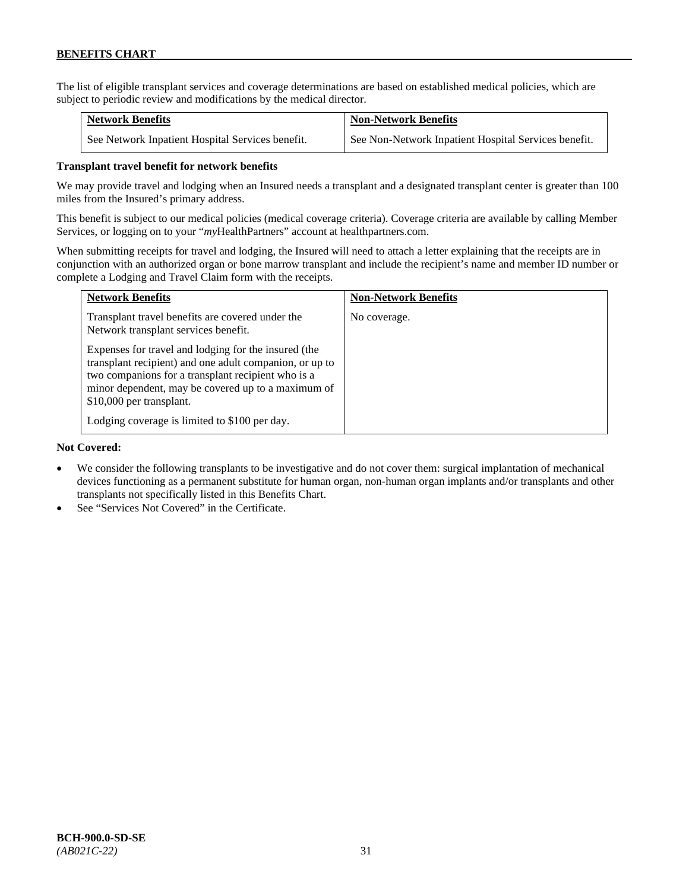The list of eligible transplant services and coverage determinations are based on established medical policies, which are subject to periodic review and modifications by the medical director.

| <b>Network Benefits</b>                          | <b>Non-Network Benefits</b>                          |
|--------------------------------------------------|------------------------------------------------------|
| See Network Inpatient Hospital Services benefit. | See Non-Network Inpatient Hospital Services benefit. |

### **Transplant travel benefit for network benefits**

We may provide travel and lodging when an Insured needs a transplant and a designated transplant center is greater than 100 miles from the Insured's primary address.

This benefit is subject to our medical policies (medical coverage criteria). Coverage criteria are available by calling Member Services, or logging on to your "*my*HealthPartners" account a[t healthpartners.com.](http://www.healthpartners.com/)

When submitting receipts for travel and lodging, the Insured will need to attach a letter explaining that the receipts are in conjunction with an authorized organ or bone marrow transplant and include the recipient's name and member ID number or complete a Lodging and Travel Claim form with the receipts.

| <b>Network Benefits</b>                                                                                                                                                                                                                                 | <b>Non-Network Benefits</b> |
|---------------------------------------------------------------------------------------------------------------------------------------------------------------------------------------------------------------------------------------------------------|-----------------------------|
| Transplant travel benefits are covered under the<br>Network transplant services benefit.                                                                                                                                                                | No coverage.                |
| Expenses for travel and lodging for the insured (the<br>transplant recipient) and one adult companion, or up to<br>two companions for a transplant recipient who is a<br>minor dependent, may be covered up to a maximum of<br>\$10,000 per transplant. |                             |
| Lodging coverage is limited to \$100 per day.                                                                                                                                                                                                           |                             |

### **Not Covered:**

- We consider the following transplants to be investigative and do not cover them: surgical implantation of mechanical devices functioning as a permanent substitute for human organ, non-human organ implants and/or transplants and other transplants not specifically listed in this Benefits Chart.
- See "Services Not Covered" in the Certificate.